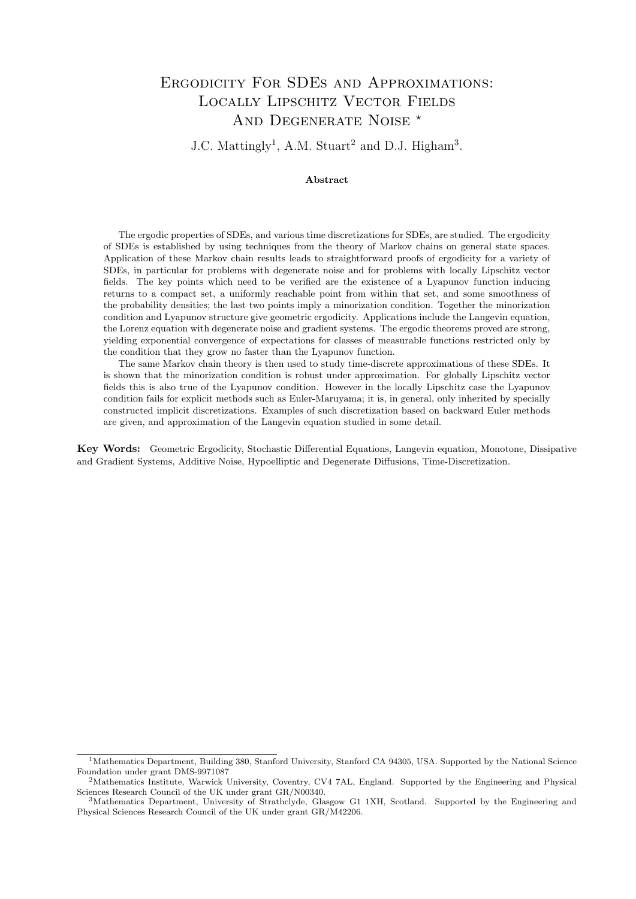# Ergodicity For SDEs and Approximations: Locally Lipschitz Vector Fields AND DEGENERATE NOISE \*

 $J.C.$  Mattingly<sup>1</sup>, A.M. Stuart<sup>2</sup> and D.J. Higham<sup>3</sup>.

### Abstract

The ergodic properties of SDEs, and various time discretizations for SDEs, are studied. The ergodicity of SDEs is established by using techniques from the theory of Markov chains on general state spaces. Application of these Markov chain results leads to straightforward proofs of ergodicity for a variety of SDEs, in particular for problems with degenerate noise and for problems with locally Lipschitz vector fields. The key points which need to be verified are the existence of a Lyapunov function inducing returns to a compact set, a uniformly reachable point from within that set, and some smoothness of the probability densities; the last two points imply a minorization condition. Together the minorization condition and Lyapunov structure give geometric ergodicity. Applications include the Langevin equation, the Lorenz equation with degenerate noise and gradient systems. The ergodic theorems proved are strong, yielding exponential convergence of expectations for classes of measurable functions restricted only by the condition that they grow no faster than the Lyapunov function.

The same Markov chain theory is then used to study time-discrete approximations of these SDEs. It is shown that the minorization condition is robust under approximation. For globally Lipschitz vector fields this is also true of the Lyapunov condition. However in the locally Lipschitz case the Lyapunov condition fails for explicit methods such as Euler-Maruyama; it is, in general, only inherited by specially constructed implicit discretizations. Examples of such discretization based on backward Euler methods are given, and approximation of the Langevin equation studied in some detail.

Key Words: Geometric Ergodicity, Stochastic Differential Equations, Langevin equation, Monotone, Dissipative and Gradient Systems, Additive Noise, Hypoelliptic and Degenerate Diffusions, Time-Discretization.

<sup>&</sup>lt;sup>1</sup>Mathematics Department, Building 380, Stanford University, Stanford CA 94305, USA. Supported by the National Science Foundation under grant DMS-9971087

<sup>2</sup>Mathematics Institute, Warwick University, Coventry, CV4 7AL, England. Supported by the Engineering and Physical Sciences Research Council of the UK under grant GR/N00340.

<sup>3</sup>Mathematics Department, University of Strathclyde, Glasgow G1 1XH, Scotland. Supported by the Engineering and Physical Sciences Research Council of the UK under grant GR/M42206.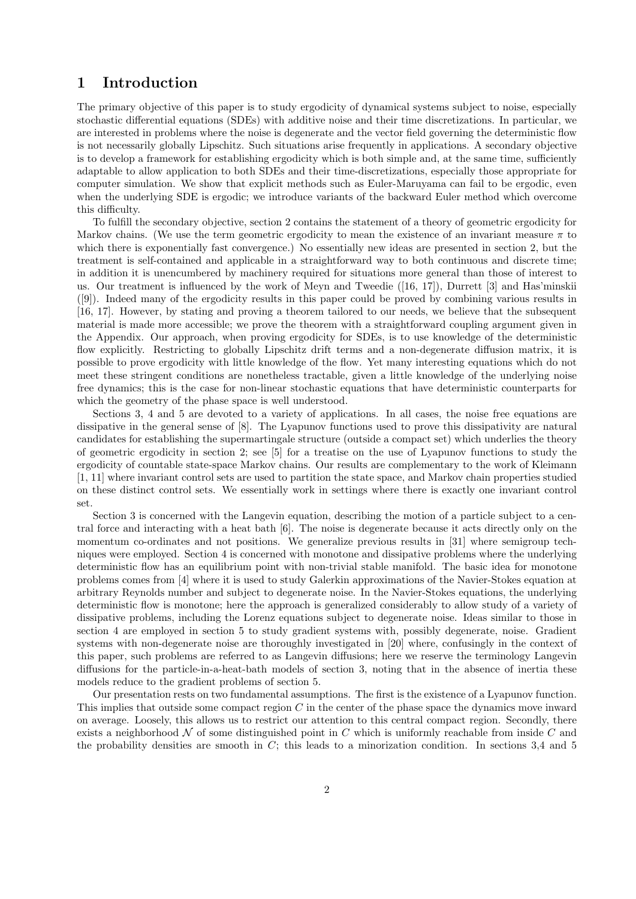# 1 Introduction

The primary objective of this paper is to study ergodicity of dynamical systems subject to noise, especially stochastic differential equations (SDEs) with additive noise and their time discretizations. In particular, we are interested in problems where the noise is degenerate and the vector field governing the deterministic flow is not necessarily globally Lipschitz. Such situations arise frequently in applications. A secondary objective is to develop a framework for establishing ergodicity which is both simple and, at the same time, sufficiently adaptable to allow application to both SDEs and their time-discretizations, especially those appropriate for computer simulation. We show that explicit methods such as Euler-Maruyama can fail to be ergodic, even when the underlying SDE is ergodic; we introduce variants of the backward Euler method which overcome this difficulty.

To fulfill the secondary objective, section 2 contains the statement of a theory of geometric ergodicity for Markov chains. (We use the term geometric ergodicity to mean the existence of an invariant measure  $\pi$  to which there is exponentially fast convergence.) No essentially new ideas are presented in section 2, but the treatment is self-contained and applicable in a straightforward way to both continuous and discrete time; in addition it is unencumbered by machinery required for situations more general than those of interest to us. Our treatment is influenced by the work of Meyn and Tweedie ([16, 17]), Durrett [3] and Has'minskii ([9]). Indeed many of the ergodicity results in this paper could be proved by combining various results in [16, 17]. However, by stating and proving a theorem tailored to our needs, we believe that the subsequent material is made more accessible; we prove the theorem with a straightforward coupling argument given in the Appendix. Our approach, when proving ergodicity for SDEs, is to use knowledge of the deterministic flow explicitly. Restricting to globally Lipschitz drift terms and a non-degenerate diffusion matrix, it is possible to prove ergodicity with little knowledge of the flow. Yet many interesting equations which do not meet these stringent conditions are nonetheless tractable, given a little knowledge of the underlying noise free dynamics; this is the case for non-linear stochastic equations that have deterministic counterparts for which the geometry of the phase space is well understood.

Sections 3, 4 and 5 are devoted to a variety of applications. In all cases, the noise free equations are dissipative in the general sense of [8]. The Lyapunov functions used to prove this dissipativity are natural candidates for establishing the supermartingale structure (outside a compact set) which underlies the theory of geometric ergodicity in section 2; see [5] for a treatise on the use of Lyapunov functions to study the ergodicity of countable state-space Markov chains. Our results are complementary to the work of Kleimann [1, 11] where invariant control sets are used to partition the state space, and Markov chain properties studied on these distinct control sets. We essentially work in settings where there is exactly one invariant control set.

Section 3 is concerned with the Langevin equation, describing the motion of a particle subject to a central force and interacting with a heat bath [6]. The noise is degenerate because it acts directly only on the momentum co-ordinates and not positions. We generalize previous results in [31] where semigroup techniques were employed. Section 4 is concerned with monotone and dissipative problems where the underlying deterministic flow has an equilibrium point with non-trivial stable manifold. The basic idea for monotone problems comes from [4] where it is used to study Galerkin approximations of the Navier-Stokes equation at arbitrary Reynolds number and subject to degenerate noise. In the Navier-Stokes equations, the underlying deterministic flow is monotone; here the approach is generalized considerably to allow study of a variety of dissipative problems, including the Lorenz equations subject to degenerate noise. Ideas similar to those in section 4 are employed in section 5 to study gradient systems with, possibly degenerate, noise. Gradient systems with non-degenerate noise are thoroughly investigated in [20] where, confusingly in the context of this paper, such problems are referred to as Langevin diffusions; here we reserve the terminology Langevin diffusions for the particle-in-a-heat-bath models of section 3, noting that in the absence of inertia these models reduce to the gradient problems of section 5.

Our presentation rests on two fundamental assumptions. The first is the existence of a Lyapunov function. This implies that outside some compact region C in the center of the phase space the dynamics move inward on average. Loosely, this allows us to restrict our attention to this central compact region. Secondly, there exists a neighborhood  $\mathcal N$  of some distinguished point in C which is uniformly reachable from inside C and the probability densities are smooth in  $C$ ; this leads to a minorization condition. In sections 3.4 and 5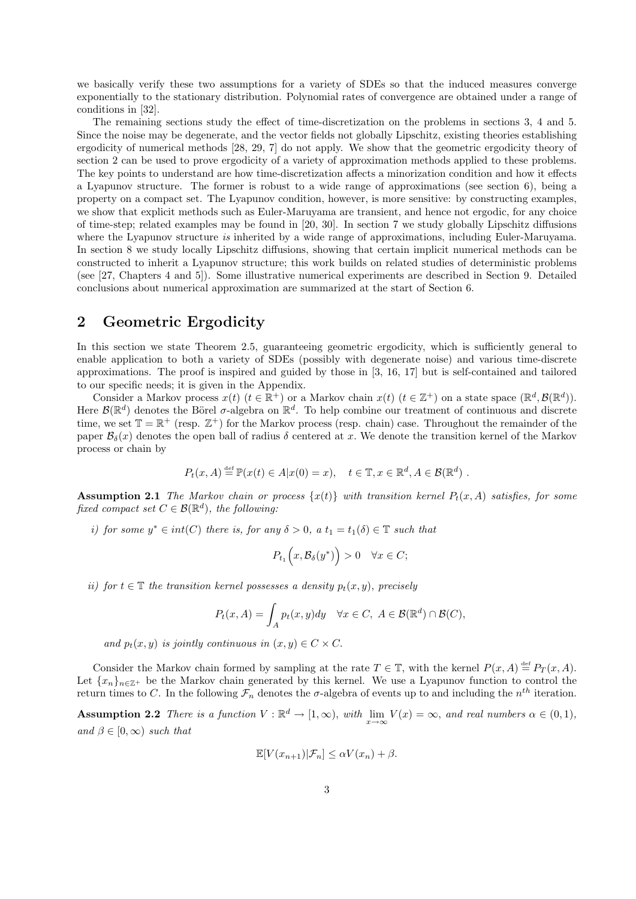we basically verify these two assumptions for a variety of SDEs so that the induced measures converge exponentially to the stationary distribution. Polynomial rates of convergence are obtained under a range of conditions in [32].

The remaining sections study the effect of time-discretization on the problems in sections 3, 4 and 5. Since the noise may be degenerate, and the vector fields not globally Lipschitz, existing theories establishing ergodicity of numerical methods [28, 29, 7] do not apply. We show that the geometric ergodicity theory of section 2 can be used to prove ergodicity of a variety of approximation methods applied to these problems. The key points to understand are how time-discretization affects a minorization condition and how it effects a Lyapunov structure. The former is robust to a wide range of approximations (see section 6), being a property on a compact set. The Lyapunov condition, however, is more sensitive: by constructing examples, we show that explicit methods such as Euler-Maruyama are transient, and hence not ergodic, for any choice of time-step; related examples may be found in [20, 30]. In section 7 we study globally Lipschitz diffusions where the Lyapunov structure is inherited by a wide range of approximations, including Euler-Maruyama. In section 8 we study locally Lipschitz diffusions, showing that certain implicit numerical methods can be constructed to inherit a Lyapunov structure; this work builds on related studies of deterministic problems (see [27, Chapters 4 and 5]). Some illustrative numerical experiments are described in Section 9. Detailed conclusions about numerical approximation are summarized at the start of Section 6.

### 2 Geometric Ergodicity

In this section we state Theorem 2.5, guaranteeing geometric ergodicity, which is sufficiently general to enable application to both a variety of SDEs (possibly with degenerate noise) and various time-discrete approximations. The proof is inspired and guided by those in [3, 16, 17] but is self-contained and tailored to our specific needs; it is given in the Appendix.

Consider a Markov process  $x(t)$   $(t \in \mathbb{R}^+)$  or a Markov chain  $x(t)$   $(t \in \mathbb{Z}^+)$  on a state space  $(\mathbb{R}^d, \mathcal{B}(\mathbb{R}^d))$ . Here  $\mathcal{B}(\mathbb{R}^d)$  denotes the Börel  $\sigma$ -algebra on  $\mathbb{R}^d$ . To help combine our treatment of continuous and discrete time, we set  $\mathbb{T} = \mathbb{R}^+$  (resp.  $\mathbb{Z}^+$ ) for the Markov process (resp. chain) case. Throughout the remainder of the paper  $\mathcal{B}_{\delta}(x)$  denotes the open ball of radius  $\delta$  centered at x. We denote the transition kernel of the Markov process or chain by

$$
P_t(x, A) \stackrel{\text{def}}{=} \mathbb{P}(x(t) \in A | x(0) = x), \quad t \in \mathbb{T}, x \in \mathbb{R}^d, A \in \mathcal{B}(\mathbb{R}^d) .
$$

**Assumption 2.1** The Markov chain or process  $\{x(t)\}\$  with transition kernel  $P_t(x, A)$  satisfies, for some fixed compact set  $C \in \mathcal{B}(\mathbb{R}^d)$ , the following:

i) for some  $y^* \in int(C)$  there is, for any  $\delta > 0$ , a  $t_1 = t_1(\delta) \in \mathbb{T}$  such that

$$
P_{t_1}\Big(x,\mathcal{B}_{\delta}(y^*)\Big) > 0 \quad \forall x \in C;
$$

ii) for  $t \in \mathbb{T}$  the transition kernel possesses a density  $p_t(x, y)$ , precisely

$$
P_t(x, A) = \int_A p_t(x, y) dy \quad \forall x \in C, \ A \in \mathcal{B}(\mathbb{R}^d) \cap \mathcal{B}(C),
$$

and  $p_t(x, y)$  is jointly continuous in  $(x, y) \in C \times C$ .

Consider the Markov chain formed by sampling at the rate  $T \in \mathbb{T}$ , with the kernel  $P(x, A) \stackrel{\text{def}}{=} P_T(x, A)$ . Let  ${x_n}_{n \in \mathbb{Z}^+}$  be the Markov chain generated by this kernel. We use a Lyapunov function to control the return times to C. In the following  $\mathcal{F}_n$  denotes the  $\sigma$ -algebra of events up to and including the  $n^{th}$  iteration.

**Assumption 2.2** There is a function  $V : \mathbb{R}^d \to [1, \infty)$ , with  $\lim_{x \to \infty} V(x) = \infty$ , and real numbers  $\alpha \in (0, 1)$ , and  $\beta \in [0,\infty)$  such that

$$
\mathbb{E}[V(x_{n+1})|\mathcal{F}_n] \le \alpha V(x_n) + \beta.
$$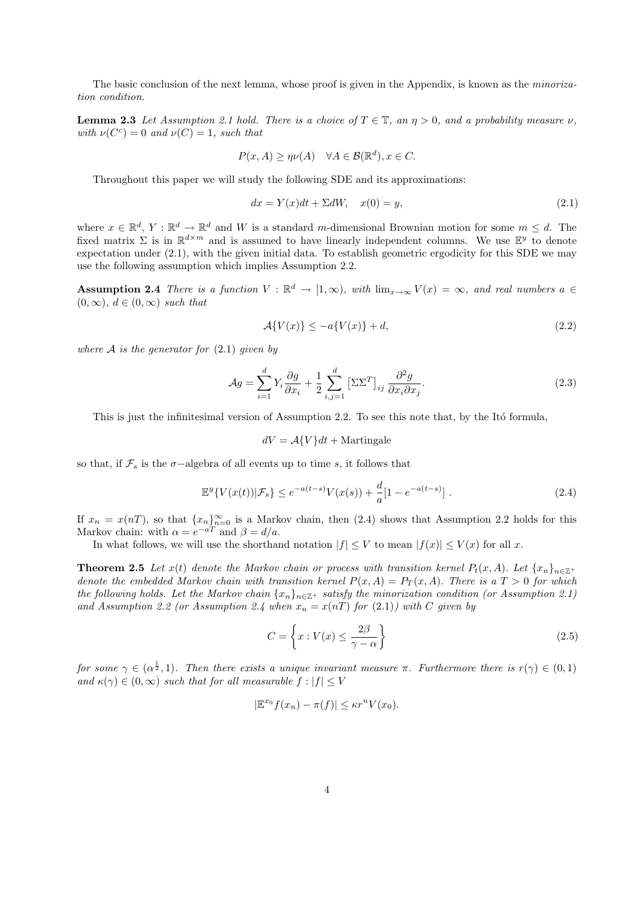The basic conclusion of the next lemma, whose proof is given in the Appendix, is known as the *minoriza*tion condition.

**Lemma 2.3** Let Assumption 2.1 hold. There is a choice of  $T \in \mathbb{T}$ , an  $\eta > 0$ , and a probability measure  $\nu$ , with  $\nu(C^c) = 0$  and  $\nu(C) = 1$ , such that

$$
P(x, A) \ge \eta \nu(A) \quad \forall A \in \mathcal{B}(\mathbb{R}^d), x \in C.
$$

Throughout this paper we will study the following SDE and its approximations:

$$
dx = Y(x)dt + \Sigma dW, \quad x(0) = y,\tag{2.1}
$$

where  $x \in \mathbb{R}^d$ ,  $Y : \mathbb{R}^d \to \mathbb{R}^d$  and W is a standard m-dimensional Brownian motion for some  $m \leq d$ . The fixed matrix  $\Sigma$  is in  $\mathbb{R}^{d \times m}$  and is assumed to have linearly independent columns. We use  $\mathbb{E}^y$  to denote expectation under (2.1), with the given initial data. To establish geometric ergodicity for this SDE we may use the following assumption which implies Assumption 2.2.

Assumption 2.4 There is a function  $V : \mathbb{R}^d \to [1,\infty)$ , with  $\lim_{x\to\infty} V(x) = \infty$ , and real numbers  $a \in$  $(0, \infty)$ ,  $d \in (0, \infty)$  such that

$$
\mathcal{A}\{V(x)\} \le -a\{V(x)\} + d,\tag{2.2}
$$

where  $A$  is the generator for  $(2.1)$  given by

$$
\mathcal{A}g = \sum_{i=1}^{d} Y_i \frac{\partial g}{\partial x_i} + \frac{1}{2} \sum_{i,j=1}^{d} \left[ \Sigma \Sigma^T \right]_{ij} \frac{\partial^2 g}{\partial x_i \partial x_j}.
$$
\n(2.3)

This is just the infinitesimal version of Assumption 2.2. To see this note that, by the Itó formula,

$$
dV = \mathcal{A}\{V\}dt + \text{Martingale}
$$

so that, if  $\mathcal{F}_s$  is the  $\sigma$ -algebra of all events up to time s, it follows that

$$
\mathbb{E}^y \{ V(x(t)) | \mathcal{F}_s \} \le e^{-a(t-s)} V(x(s)) + \frac{d}{a} [1 - e^{-a(t-s)}] \ . \tag{2.4}
$$

If  $x_n = x(n)$ , so that  ${x_n}_{n=0}^{\infty}$  is a Markov chain, then (2.4) shows that Assumption 2.2 holds for this Markov chain: with  $\alpha = e^{-aT}$  and  $\beta = d/a$ .

In what follows, we will use the shorthand notation  $|f| \leq V$  to mean  $|f(x)| \leq V(x)$  for all x.

**Theorem 2.5** Let  $x(t)$  denote the Markov chain or process with transition kernel  $P_t(x, A)$ . Let  $\{x_n\}_{n \in \mathbb{Z}^+}$ denote the embedded Markov chain with transition kernel  $P(x, A) = P<sub>T</sub>(x, A)$ . There is a  $T > 0$  for which the following holds. Let the Markov chain  $\{x_n\}_{n\in\mathbb{Z}^+}$  satisfy the minorization condition (or Assumption 2.1) and Assumption 2.2 (or Assumption 2.4 when  $x_n = x(nT)$  for  $(2.1)$ ) with C given by

$$
C = \left\{ x : V(x) \le \frac{2\beta}{\gamma - \alpha} \right\}
$$
\n(2.5)

for some  $\gamma \in (\alpha^{\frac{1}{2}}, 1)$ . Then there exists a unique invariant measure  $\pi$ . Furthermore there is  $r(\gamma) \in (0, 1)$ and  $\kappa(\gamma) \in (0,\infty)$  such that for all measurable  $f : |f| \leq V$ 

$$
|\mathbb{E}^{x_0} f(x_n) - \pi(f)| \leq \kappa r^n V(x_0).
$$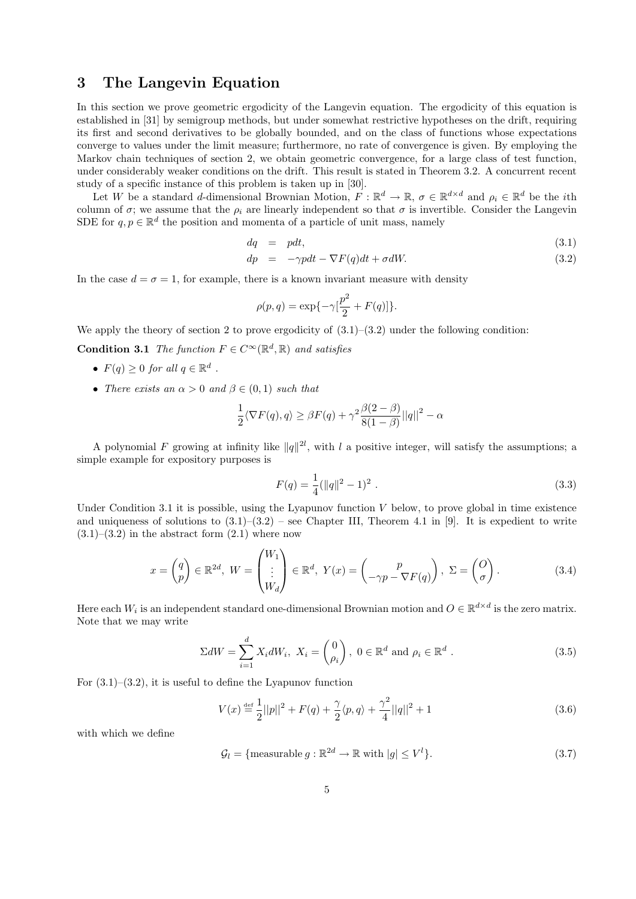## 3 The Langevin Equation

In this section we prove geometric ergodicity of the Langevin equation. The ergodicity of this equation is established in [31] by semigroup methods, but under somewhat restrictive hypotheses on the drift, requiring its first and second derivatives to be globally bounded, and on the class of functions whose expectations converge to values under the limit measure; furthermore, no rate of convergence is given. By employing the Markov chain techniques of section 2, we obtain geometric convergence, for a large class of test function, under considerably weaker conditions on the drift. This result is stated in Theorem 3.2. A concurrent recent study of a specific instance of this problem is taken up in [30].

Let W be a standard d-dimensional Brownian Motion,  $F : \mathbb{R}^d \to \mathbb{R}$ ,  $\sigma \in \mathbb{R}^{d \times d}$  and  $\rho_i \in \mathbb{R}^d$  be the *i*th column of  $\sigma$ ; we assume that the  $\rho_i$  are linearly independent so that  $\sigma$  is invertible. Consider the Langevin SDE for  $q, p \in \mathbb{R}^d$  the position and momenta of a particle of unit mass, namely

$$
dq = pdt,
$$
\n
$$
dp = -\gamma pdt - \nabla F(q)dt + \sigma dW.
$$
\n(3.1)\n(3.2)

In the case  $d = \sigma = 1$ , for example, there is a known invariant measure with density

$$
\rho(p,q) = \exp\{-\gamma[\frac{p^2}{2} + F(q)]\}.
$$

We apply the theory of section 2 to prove ergodicity of  $(3.1)$ – $(3.2)$  under the following condition:

**Condition 3.1** The function  $F \in C^{\infty}(\mathbb{R}^d, \mathbb{R})$  and satisfies

- $F(q) \geq 0$  for all  $q \in \mathbb{R}^d$ .
- There exists an  $\alpha > 0$  and  $\beta \in (0,1)$  such that

$$
\frac{1}{2}\langle \nabla F(q), q \rangle \ge \beta F(q) + \gamma^2 \frac{\beta(2-\beta)}{8(1-\beta)}||q||^2 - \alpha
$$

A polynomial F growing at infinity like  $||q||^{2l}$ , with l a positive integer, will satisfy the assumptions; a simple example for expository purposes is

$$
F(q) = \frac{1}{4} (||q||^2 - 1)^2 . \tag{3.3}
$$

Under Condition 3.1 it is possible, using the Lyapunov function  $V$  below, to prove global in time existence and uniqueness of solutions to  $(3.1)$ – $(3.2)$  – see Chapter III, Theorem 4.1 in [9]. It is expedient to write  $(3.1)$ – $(3.2)$  in the abstract form  $(2.1)$  where now

$$
x = \begin{pmatrix} q \\ p \end{pmatrix} \in \mathbb{R}^{2d}, \ W = \begin{pmatrix} W_1 \\ \vdots \\ W_d \end{pmatrix} \in \mathbb{R}^d, \ Y(x) = \begin{pmatrix} p \\ -\gamma p - \nabla F(q) \end{pmatrix}, \ \Sigma = \begin{pmatrix} O \\ \sigma \end{pmatrix}.
$$
 (3.4)

Here each  $W_i$  is an independent standard one-dimensional Brownian motion and  $O \in \mathbb{R}^{d \times d}$  is the zero matrix. Note that we may write

$$
\Sigma dW = \sum_{i=1}^{d} X_i dW_i, \ X_i = \begin{pmatrix} 0 \\ \rho_i \end{pmatrix}, \ 0 \in \mathbb{R}^d \text{ and } \rho_i \in \mathbb{R}^d \ .
$$
 (3.5)

For  $(3.1)$ – $(3.2)$ , it is useful to define the Lyapunov function

$$
V(x) \stackrel{\text{def}}{=} \frac{1}{2} ||p||^2 + F(q) + \frac{\gamma}{2} \langle p, q \rangle + \frac{\gamma^2}{4} ||q||^2 + 1 \tag{3.6}
$$

with which we define

$$
\mathcal{G}_l = \{ \text{measurable } g : \mathbb{R}^{2d} \to \mathbb{R} \text{ with } |g| \le V^l \}. \tag{3.7}
$$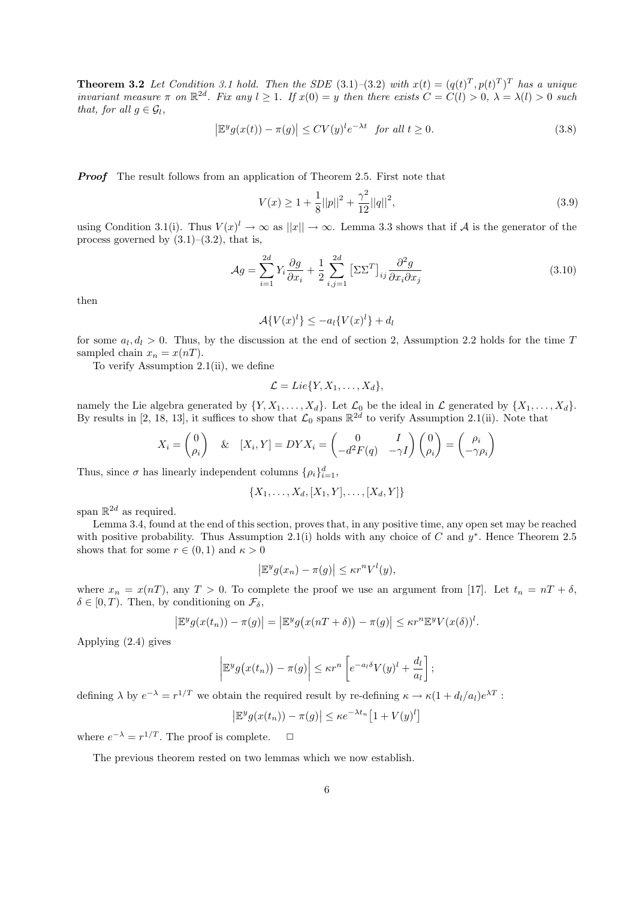**Theorem 3.2** Let Condition 3.1 hold. Then the SDE (3.1)-(3.2) with  $x(t) = (q(t)^T, p(t)^T)^T$  has a unique invariant measure  $\pi$  on  $\mathbb{R}^{2d}$ . Fix any  $l \geq 1$ . If  $x(0) = y$  then there exists  $C = C(l) > 0$ ,  $\lambda = \lambda(l) > 0$  such that, for all  $g \in \mathcal{G}_l$ ,

$$
\left|\mathbb{E}^y g(x(t)) - \pi(g)\right| \le CV(y)^l e^{-\lambda t} \quad \text{for all } t \ge 0. \tag{3.8}
$$

**Proof** The result follows from an application of Theorem 2.5. First note that

$$
V(x) \ge 1 + \frac{1}{8}||p||^2 + \frac{\gamma^2}{12}||q||^2,\tag{3.9}
$$

using Condition 3.1(i). Thus  $V(x)^{l} \to \infty$  as  $||x|| \to \infty$ . Lemma 3.3 shows that if A is the generator of the process governed by  $(3.1)$ – $(3.2)$ , that is,

$$
\mathcal{A}g = \sum_{i=1}^{2d} Y_i \frac{\partial g}{\partial x_i} + \frac{1}{2} \sum_{i,j=1}^{2d} \left[ \Sigma \Sigma^T \right]_{ij} \frac{\partial^2 g}{\partial x_i \partial x_j} \tag{3.10}
$$

then

$$
\mathcal{A}\lbrace V(x)^l\rbrace \le -a_l \lbrace V(x)^l\rbrace + d_l
$$

for some  $a_l, d_l > 0$ . Thus, by the discussion at the end of section 2, Assumption 2.2 holds for the time T sampled chain  $x_n = x(nT)$ .

To verify Assumption 2.1(ii), we define

$$
\mathcal{L}=Lie\{Y,X_1,\ldots,X_d\},\
$$

namely the Lie algebra generated by  $\{Y, X_1, \ldots, X_d\}$ . Let  $\mathcal{L}_0$  be the ideal in  $\mathcal{L}$  generated by  $\{X_1, \ldots, X_d\}$ . By results in [2, 18, 13], it suffices to show that  $\mathcal{L}_0$  spans  $\mathbb{R}^{2d}$  to verify Assumption 2.1(ii). Note that

$$
X_i = \begin{pmatrix} 0 \\ \rho_i \end{pmatrix} \quad \& \quad [X_i, Y] = DY X_i = \begin{pmatrix} 0 & I \\ -d^2 F(q) & -\gamma I \end{pmatrix} \begin{pmatrix} 0 \\ \rho_i \end{pmatrix} = \begin{pmatrix} \rho_i \\ -\gamma \rho_i \end{pmatrix}
$$

Thus, since  $\sigma$  has linearly independent columns  $\{\rho_i\}_{i=1}^d$ ,

$$
\{X_1, \ldots, X_d, [X_1, Y], \ldots, [X_d, Y]\}
$$

span  $\mathbb{R}^{2d}$  as required.

Lemma 3.4, found at the end of this section, proves that, in any positive time, any open set may be reached with positive probability. Thus Assumption 2.1(i) holds with any choice of C and  $y^*$ . Hence Theorem 2.5 shows that for some  $r \in (0,1)$  and  $\kappa > 0$ 

$$
\left|\mathbb{E}^y g(x_n) - \pi(g)\right| \le \kappa r^n V^l(y),
$$

where  $x_n = x(n)$ , any  $T > 0$ . To complete the proof we use an argument from [17]. Let  $t_n = nT + \delta$ ,  $\delta \in [0, T)$ . Then, by conditioning on  $\mathcal{F}_{\delta}$ ,

$$
\left|\mathbb{E}^y g(x(t_n)) - \pi(g)\right| = \left|\mathbb{E}^y g(x(nT + \delta)) - \pi(g)\right| \leq \kappa r^n \mathbb{E}^y V(x(\delta))^l.
$$

Applying (2.4) gives

$$
\left|\mathbb{E}^y g\big(x(t_n)\big)-\pi(g)\right|\leq \kappa r^n \left[e^{-a_l\delta}V(y)^l+\frac{d_l}{a_l}\right];
$$

defining  $\lambda$  by  $e^{-\lambda} = r^{1/T}$  we obtain the required result by re-defining  $\kappa \to \kappa (1 + d_l/a_l) e^{\lambda T}$ :

$$
\left| \mathbb{E}^y g(x(t_n)) - \pi(g) \right| \le \kappa e^{-\lambda t_n} \left[ 1 + V(y)^l \right]
$$

where  $e^{-\lambda} = r^{1/T}$ . The proof is complete.  $\Box$ 

The previous theorem rested on two lemmas which we now establish.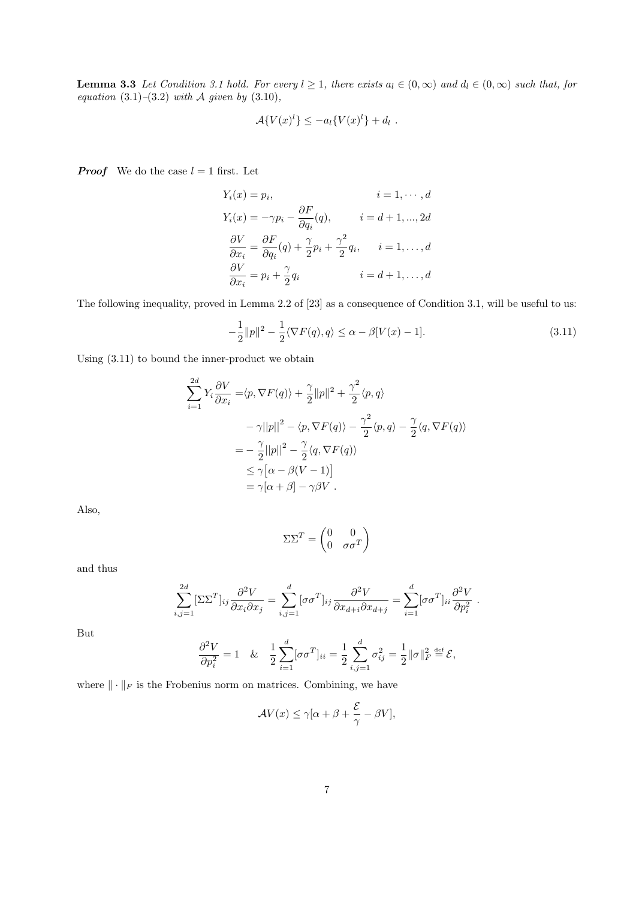**Lemma 3.3** Let Condition 3.1 hold. For every  $l \geq 1$ , there exists  $a_l \in (0,\infty)$  and  $d_l \in (0,\infty)$  such that, for equation  $(3.1)$ – $(3.2)$  with A given by  $(3.10)$ ,

$$
\mathcal{A}\lbrace V(x)^l\rbrace \leq -a_l\lbrace V(x)^l\rbrace +d_l.
$$

**Proof** We do the case  $l = 1$  first. Let

$$
Y_i(x) = p_i, \t i = 1, \dots, d
$$
  
\n
$$
Y_i(x) = -\gamma p_i - \frac{\partial F}{\partial q_i}(q), \t i = d + 1, \dots, 2d
$$
  
\n
$$
\frac{\partial V}{\partial x_i} = \frac{\partial F}{\partial q_i}(q) + \frac{\gamma}{2}p_i + \frac{\gamma^2}{2}q_i, \t i = 1, \dots, d
$$
  
\n
$$
\frac{\partial V}{\partial x_i} = p_i + \frac{\gamma}{2}q_i \t i = d + 1, \dots, d
$$

The following inequality, proved in Lemma 2.2 of [23] as a consequence of Condition 3.1, will be useful to us:

$$
-\frac{1}{2}||p||^2 - \frac{1}{2}\langle \nabla F(q), q \rangle \le \alpha - \beta[V(x) - 1].\tag{3.11}
$$

Using (3.11) to bound the inner-product we obtain

$$
\sum_{i=1}^{2d} Y_i \frac{\partial V}{\partial x_i} = \langle p, \nabla F(q) \rangle + \frac{\gamma}{2} ||p||^2 + \frac{\gamma^2}{2} \langle p, q \rangle
$$
  

$$
- \gamma ||p||^2 - \langle p, \nabla F(q) \rangle - \frac{\gamma^2}{2} \langle p, q \rangle - \frac{\gamma}{2} \langle q, \nabla F(q) \rangle
$$
  

$$
= -\frac{\gamma}{2} ||p||^2 - \frac{\gamma}{2} \langle q, \nabla F(q) \rangle
$$
  

$$
\leq \gamma [\alpha - \beta (V - 1)]
$$
  

$$
= \gamma [\alpha + \beta] - \gamma \beta V.
$$

Also,

$$
\Sigma\Sigma^T = \begin{pmatrix} 0 & 0 \\ 0 & \sigma\sigma^T \end{pmatrix}
$$

and thus

$$
\sum_{i,j=1}^{2d} [\Sigma \Sigma^T]_{ij} \frac{\partial^2 V}{\partial x_i \partial x_j} = \sum_{i,j=1}^d [\sigma \sigma^T]_{ij} \frac{\partial^2 V}{\partial x_{d+i} \partial x_{d+j}} = \sum_{i=1}^d [\sigma \sigma^T]_{ii} \frac{\partial^2 V}{\partial p_i^2}.
$$

But

$$
\frac{\partial^2 V}{\partial p_i^2} = 1 \quad \& \quad \frac{1}{2} \sum_{i=1}^d [\sigma \sigma^T]_{ii} = \frac{1}{2} \sum_{i,j=1}^d \sigma_{ij}^2 = \frac{1}{2} ||\sigma||_F^2 \stackrel{\text{def}}{=} \mathcal{E},
$$

where  $\|\cdot\|_F$  is the Frobenius norm on matrices. Combining, we have

$$
\mathcal{A}V(x) \le \gamma[\alpha + \beta + \frac{\mathcal{E}}{\gamma} - \beta V],
$$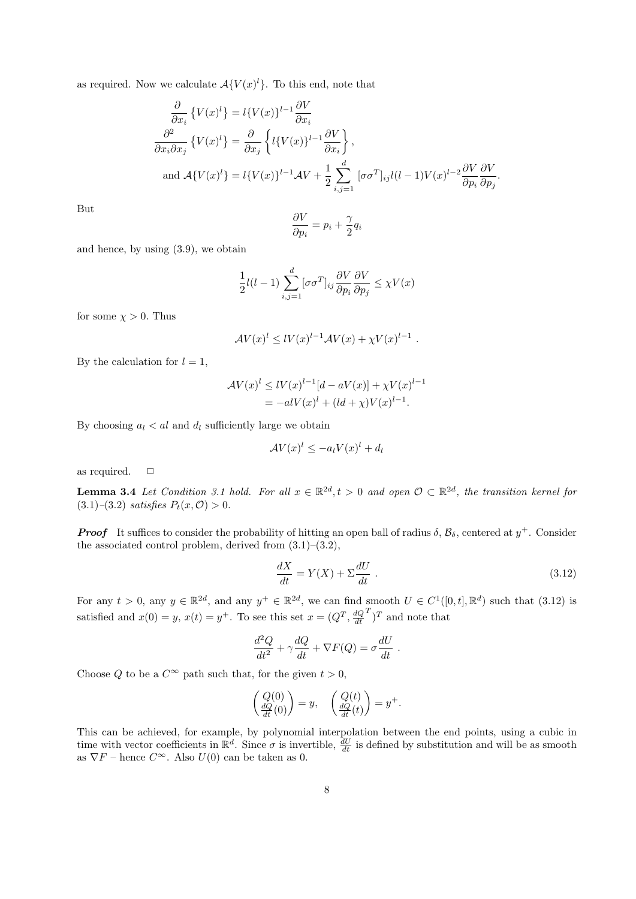as required. Now we calculate  $\mathcal{A}\lbrace V(x)^{l}\rbrace$ . To this end, note that

$$
\frac{\partial}{\partial x_i} \left\{ V(x)^l \right\} = l \{ V(x) \}^{l-1} \frac{\partial V}{\partial x_i}
$$
\n
$$
\frac{\partial^2}{\partial x_i \partial x_j} \left\{ V(x)^l \right\} = \frac{\partial}{\partial x_j} \left\{ l \{ V(x) \}^{l-1} \frac{\partial V}{\partial x_i} \right\},
$$
\nand\n
$$
\mathcal{A} \{ V(x)^l \} = l \{ V(x) \}^{l-1} \mathcal{A} V + \frac{1}{2} \sum_{i,j=1}^d [\sigma \sigma^T]_{ij} l(l-1) V(x)^{l-2} \frac{\partial V}{\partial p_i} \frac{\partial V}{\partial p_j}
$$

But

$$
\frac{\partial V}{\partial p_i} = p_i + \frac{\gamma}{2} q_i
$$

and hence, by using (3.9), we obtain

$$
\frac{1}{2}l(l-1)\sum_{i,j=1}^{d}[\sigma\sigma^{T}]_{ij}\frac{\partial V}{\partial p_{i}}\frac{\partial V}{\partial p_{j}} \leq \chi V(x)
$$

for some  $\chi > 0$ . Thus

$$
\mathcal{A}V(x)^l \leq lV(x)^{l-1}\mathcal{A}V(x) + \chi V(x)^{l-1}.
$$

By the calculation for  $l = 1$ ,

$$
\mathcal{A}V(x)^{l} \leq lV(x)^{l-1}[d - aV(x)] + \chi V(x)^{l-1} \n= -alV(x)^{l} + (ld + \chi)V(x)^{l-1}.
$$

By choosing  $a_l < al$  and  $d_l$  sufficiently large we obtain

$$
\mathcal{A}V(x)^l \le -a_l V(x)^l + d_l
$$

as required.  $\Box$ 

**Lemma 3.4** Let Condition 3.1 hold. For all  $x \in \mathbb{R}^{2d}$ ,  $t > 0$  and open  $\mathcal{O} \subset \mathbb{R}^{2d}$ , the transition kernel for (3.1)–(3.2) satisfies  $P_t(x, 0) > 0$ .

**Proof** It suffices to consider the probability of hitting an open ball of radius  $\delta$ ,  $\mathcal{B}_{\delta}$ , centered at  $y^{+}$ . Consider the associated control problem, derived from  $(3.1)$ – $(3.2)$ ,

$$
\frac{dX}{dt} = Y(X) + \Sigma \frac{dU}{dt} \tag{3.12}
$$

.

For any  $t > 0$ , any  $y \in \mathbb{R}^{2d}$ , and any  $y^+ \in \mathbb{R}^{2d}$ , we can find smooth  $U \in C^1([0,t], \mathbb{R}^d)$  such that  $(3.12)$  is satisfied and  $x(0) = y$ ,  $x(t) = y<sup>+</sup>$ . To see this set  $x = (Q<sup>T</sup>, \frac{dQ}{dt})$  $(T)^T$  and note that

$$
\frac{d^2Q}{dt^2} + \gamma \frac{dQ}{dt} + \nabla F(Q) = \sigma \frac{dU}{dt} .
$$

Choose Q to be a  $C^{\infty}$  path such that, for the given  $t > 0$ ,

$$
\begin{pmatrix}\nQ(0) \\
\frac{dQ}{dt}(0)\n\end{pmatrix} = y, \quad\n\begin{pmatrix}\nQ(t) \\
\frac{dQ}{dt}(t)\n\end{pmatrix} = y^+.
$$

This can be achieved, for example, by polynomial interpolation between the end points, using a cubic in time with vector coefficients in  $\mathbb{R}^d$ . Since  $\sigma$  is invertible,  $\frac{dU}{dt}$  is defined by substitution and will be as smooth as  $\nabla F$  – hence  $C^{\infty}$ . Also  $U(0)$  can be taken as 0.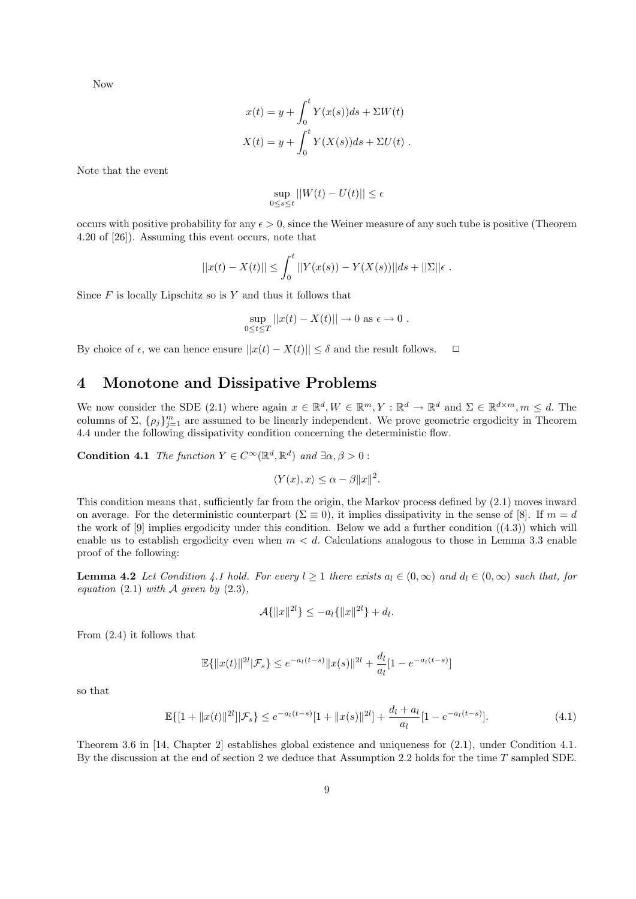Now

$$
x(t) = y + \int_0^t Y(x(s))ds + \Sigma W(t)
$$
  

$$
X(t) = y + \int_0^t Y(X(s))ds + \Sigma U(t).
$$

Note that the event

$$
\sup_{0\leq s\leq t}||W(t)-U(t)||\leq \epsilon
$$

occurs with positive probability for any  $\epsilon > 0$ , since the Weiner measure of any such tube is positive (Theorem 4.20 of [26]). Assuming this event occurs, note that

$$
||x(t) - X(t)|| \leq \int_0^t ||Y(x(s)) - Y(X(s))||ds + ||\Sigma||\epsilon.
$$

Since  $F$  is locally Lipschitz so is  $Y$  and thus it follows that

$$
\sup_{0\leq t\leq T}||x(t)-X(t)||\to 0 \text{ as } \epsilon\to 0.
$$

By choice of  $\epsilon$ , we can hence ensure  $||x(t) - X(t)|| \leq \delta$  and the result follows.  $\Box$ 

# 4 Monotone and Dissipative Problems

We now consider the SDE (2.1) where again  $x \in \mathbb{R}^d, W \in \mathbb{R}^m, Y : \mathbb{R}^d \to \mathbb{R}^d$  and  $\Sigma \in \mathbb{R}^{d \times m}, m \leq d$ . The columns of  $\Sigma$ ,  $\{\rho_j\}_{j=1}^m$  are assumed to be linearly independent. We prove geometric ergodicity in Theorem 4.4 under the following dissipativity condition concerning the deterministic flow.

**Condition 4.1** The function  $Y \in C^{\infty}(\mathbb{R}^d, \mathbb{R}^d)$  and  $\exists \alpha, \beta > 0$ :

$$
\langle Y(x), x \rangle \le \alpha - \beta \|x\|^2
$$

.

This condition means that, sufficiently far from the origin, the Markov process defined by (2.1) moves inward on average. For the deterministic counterpart ( $\Sigma \equiv 0$ ), it implies dissipativity in the sense of [8]. If  $m = d$ the work of [9] implies ergodicity under this condition. Below we add a further condition ((4.3)) which will enable us to establish ergodicity even when  $m < d$ . Calculations analogous to those in Lemma 3.3 enable proof of the following:

**Lemma 4.2** Let Condition 4.1 hold. For every  $l \geq 1$  there exists  $a_l \in (0,\infty)$  and  $d_l \in (0,\infty)$  such that, for equation (2.1) with  $A$  given by (2.3),

$$
\mathcal{A}\{\|x\|^{2l}\} \le -a_l\{\|x\|^{2l}\} + d_l.
$$

From (2.4) it follows that

$$
\mathbb{E}\{\|x(t)\|^{2l}|\mathcal{F}_s\} \le e^{-a_l(t-s)}\|x(s)\|^{2l} + \frac{d_l}{a_l}[1 - e^{-a_l(t-s)}]
$$

so that

$$
\mathbb{E}\{[1+\|x(t)\|^{2l}]\|\mathcal{F}_s\} \le e^{-a_l(t-s)}[1+\|x(s)\|^{2l}] + \frac{d_l + a_l}{a_l}[1 - e^{-a_l(t-s)}].\tag{4.1}
$$

Theorem 3.6 in [14, Chapter 2] establishes global existence and uniqueness for (2.1), under Condition 4.1. By the discussion at the end of section 2 we deduce that Assumption 2.2 holds for the time T sampled SDE.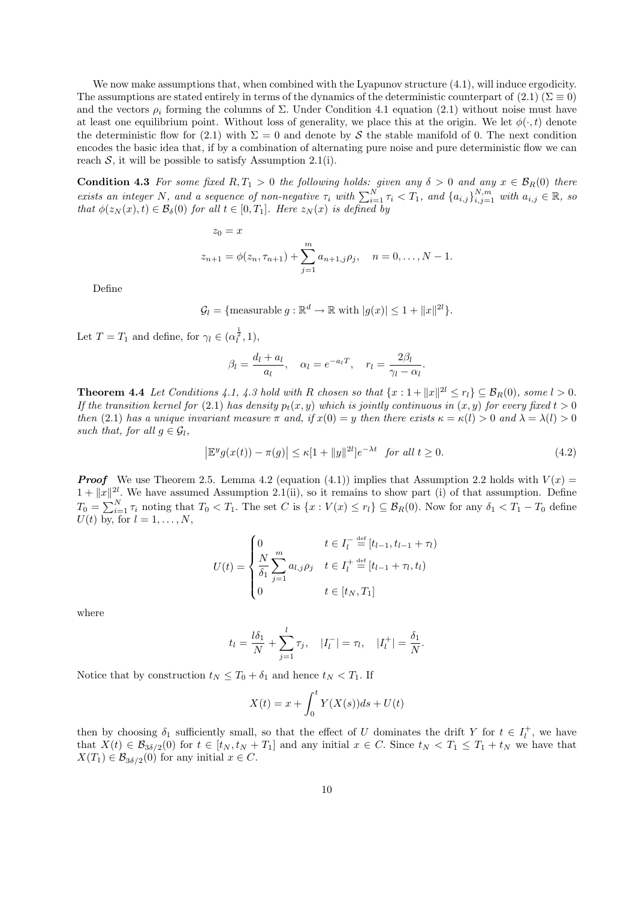We now make assumptions that, when combined with the Lyapunov structure  $(4.1)$ , will induce ergodicity. The assumptions are stated entirely in terms of the dynamics of the deterministic counterpart of (2.1) ( $\Sigma \equiv 0$ ) and the vectors  $\rho_i$  forming the columns of  $\Sigma$ . Under Condition 4.1 equation (2.1) without noise must have at least one equilibrium point. Without loss of generality, we place this at the origin. We let  $\phi(\cdot, t)$  denote the deterministic flow for (2.1) with  $\Sigma = 0$  and denote by S the stable manifold of 0. The next condition encodes the basic idea that, if by a combination of alternating pure noise and pure deterministic flow we can reach  $S$ , it will be possible to satisfy Assumption 2.1(i).

**Condition 4.3** For some fixed  $R, T_1 > 0$  the following holds: given any  $\delta > 0$  and any  $x \in \mathcal{B}_R(0)$  there exists an integer N, and a sequence of non-negative  $\tau_i$  with  $\sum_{i=1}^N \tau_i < T_1$ , and  $\{a_{i,j}\}_{i,j=1}^{N,m}$  with  $a_{i,j} \in \mathbb{R}$ , so that  $\phi(z_N(x), t) \in \mathcal{B}_{\delta}(0)$  for all  $t \in [0, T_1]$ . Here  $z_N(x)$  is defined by

$$
z_0 = x
$$
  

$$
z_{n+1} = \phi(z_n, \tau_{n+1}) + \sum_{j=1}^m a_{n+1,j} \rho_j, \quad n = 0, \dots, N-1.
$$

Define

 $\mathcal{G}_l = \{\text{measurable } g : \mathbb{R}^d \to \mathbb{R} \text{ with } |g(x)| \leq 1 + ||x||^{2l}\}.$ 

Let  $T = T_1$  and define, for  $\gamma_l \in (\alpha_l^{\frac{1}{2}}, 1)$ ,

$$
\beta_l = \frac{d_l + a_l}{a_l}, \quad \alpha_l = e^{-a_l T}, \quad r_l = \frac{2\beta_l}{\gamma_l - \alpha_l}.
$$

**Theorem 4.4** Let Conditions 4.1, 4.3 hold with R chosen so that  $\{x: 1 + ||x||^{2l} \le r_l\} \subseteq B_R(0)$ , some  $l > 0$ . If the transition kernel for (2.1) has density  $p_t(x, y)$  which is jointly continuous in  $(x, y)$  for every fixed  $t > 0$ then (2.1) has a unique invariant measure  $\pi$  and, if  $x(0) = y$  then there exists  $\kappa = \kappa(l) > 0$  and  $\lambda = \lambda(l) > 0$ such that, for all  $g \in \mathcal{G}_l$ ,

$$
\left|\mathbb{E}^y g(x(t)) - \pi(g)\right| \le \kappa [1 + ||y||^{2l}]e^{-\lambda t} \quad \text{for all } t \ge 0. \tag{4.2}
$$

**Proof** We use Theorem 2.5. Lemma 4.2 (equation (4.1)) implies that Assumption 2.2 holds with  $V(x)$  $1 + ||x||^{2l}$ . We have assumed Assumption 2.1(ii), so it remains to show part (i) of that assumption. Define  $T_0 = \sum_{i=1}^N \tau_i$  noting that  $T_0 < T_1$ . The set C is  $\{x : V(x) \leq r_l\} \subseteq \mathcal{B}_R(0)$ . Now for any  $\delta_1 < T_1 - T_0$  define  $U(t)$  by, for  $l = 1, \ldots, N$ ,

$$
U(t) = \begin{cases} 0 & t \in I_l^{-} \stackrel{\text{def}}{=} [t_{l-1}, t_{l-1} + \tau_l) \\ \frac{N}{\delta_1} \sum_{j=1}^m a_{l,j} \rho_j & t \in I_l^{+} \stackrel{\text{def}}{=} [t_{l-1} + \tau_l, t_l) \\ 0 & t \in [t_N, T_1] \end{cases}
$$

where

$$
t_l = \frac{l\delta_1}{N} + \sum_{j=1}^l \tau_j
$$
,  $|I_l^-| = \tau_l$ ,  $|I_l^+| = \frac{\delta_1}{N}$ .

Notice that by construction  $t_N \leq T_0 + \delta_1$  and hence  $t_N < T_1$ . If

$$
X(t) = x + \int_0^t Y(X(s))ds + U(t)
$$

then by choosing  $\delta_1$  sufficiently small, so that the effect of U dominates the drift Y for  $t \in I_l^+$ , we have that  $X(t) \in \mathcal{B}_{3\delta/2}(0)$  for  $t \in [t_N, t_N + T_1]$  and any initial  $x \in C$ . Since  $t_N < T_1 \leq T_1 + t_N$  we have that  $X(T_1) \in \mathcal{B}_{3\delta/2}(0)$  for any initial  $x \in C$ .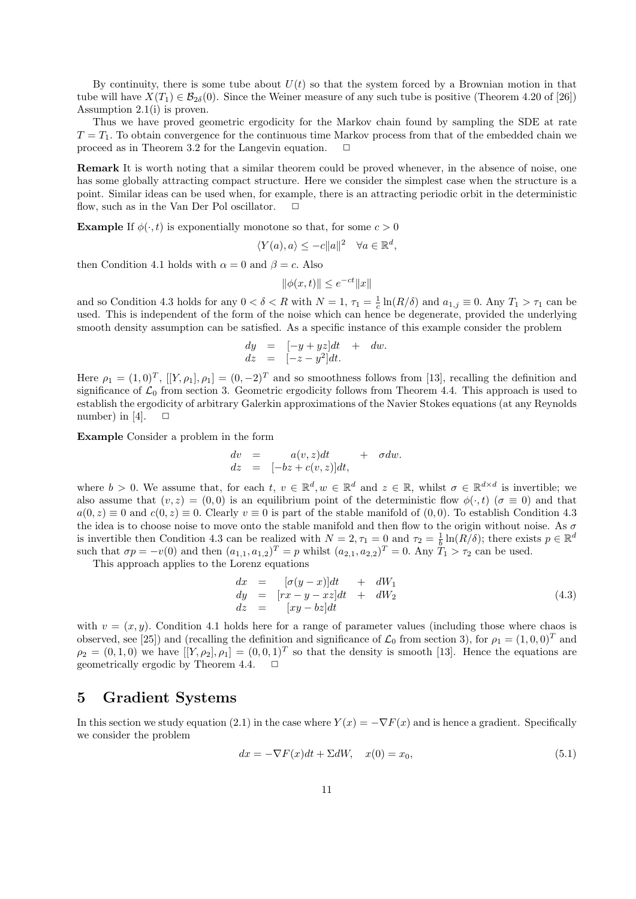By continuity, there is some tube about  $U(t)$  so that the system forced by a Brownian motion in that tube will have  $X(T_1) \in \mathcal{B}_{2\delta}(0)$ . Since the Weiner measure of any such tube is positive (Theorem 4.20 of [26]) Assumption 2.1(i) is proven.

Thus we have proved geometric ergodicity for the Markov chain found by sampling the SDE at rate  $T = T_1$ . To obtain convergence for the continuous time Markov process from that of the embedded chain we proceed as in Theorem 3.2 for the Langevin equation.  $\Box$ 

Remark It is worth noting that a similar theorem could be proved whenever, in the absence of noise, one has some globally attracting compact structure. Here we consider the simplest case when the structure is a point. Similar ideas can be used when, for example, there is an attracting periodic orbit in the deterministic flow, such as in the Van Der Pol oscillator.  $\Box$ 

**Example** If  $\phi(\cdot, t)$  is exponentially monotone so that, for some  $c > 0$ 

$$
\langle Y(a), a \rangle \le -c \|a\|^2 \quad \forall a \in \mathbb{R}^d,
$$

then Condition 4.1 holds with  $\alpha = 0$  and  $\beta = c$ . Also

$$
\|\phi(x,t)\| \le e^{-ct} \|x\|
$$

and so Condition 4.3 holds for any  $0 < \delta < R$  with  $N = 1$ ,  $\tau_1 = \frac{1}{c} \ln(R/\delta)$  and  $a_{1,j} \equiv 0$ . Any  $T_1 > \tau_1$  can be used. This is independent of the form of the noise which can hence be degenerate, provided the underlying smooth density assumption can be satisfied. As a specific instance of this example consider the problem

$$
dy = [-y + yz]dt + dw.
$$
  

$$
dz = [-z - y2]dt.
$$

Here  $\rho_1 = (1,0)^T$ ,  $[[Y,\rho_1],\rho_1] = (0,-2)^T$  and so smoothness follows from [13], recalling the definition and significance of  $\mathcal{L}_0$  from section 3. Geometric ergodicity follows from Theorem 4.4. This approach is used to establish the ergodicity of arbitrary Galerkin approximations of the Navier Stokes equations (at any Reynolds number) in [4].  $\Box$ 

Example Consider a problem in the form

$$
\begin{array}{lcl} dv &=& a(v,z)dt & + & \sigma dw.\\ dz &=& [-bz + c(v,z)]dt, \end{array}
$$

where  $b > 0$ . We assume that, for each  $t, v \in \mathbb{R}^d, w \in \mathbb{R}^d$  and  $z \in \mathbb{R}$ , whilst  $\sigma \in \mathbb{R}^{d \times d}$  is invertible; we also assume that  $(v, z) = (0, 0)$  is an equilibrium point of the deterministic flow  $\phi(\cdot, t)$  ( $\sigma \equiv 0$ ) and that  $a(0, z) \equiv 0$  and  $c(0, z) \equiv 0$ . Clearly  $v \equiv 0$  is part of the stable manifold of  $(0, 0)$ . To establish Condition 4.3 the idea is to choose noise to move onto the stable manifold and then flow to the origin without noise. As  $\sigma$ is invertible then Condition 4.3 can be realized with  $N = 2, \tau_1 = 0$  and  $\tau_2 = \frac{1}{b} \ln(R/\delta)$ ; there exists  $p \in \mathbb{R}^d$ such that  $\sigma p = -v(0)$  and then  $(a_{1,1}, a_{1,2})^T = p$  whilst  $(a_{2,1}, a_{2,2})^T = 0$ . Any  $T_1 > \tau_2$  can be used.

This approach applies to the Lorenz equations

$$
dx = [\sigma(y-x)]dt + dW_1
$$
  
\n
$$
dy = [rx - y - xz]dt + dW_2
$$
  
\n
$$
dz = [xy - bz]dt
$$
\n(4.3)

with  $v = (x, y)$ . Condition 4.1 holds here for a range of parameter values (including those where chaos is observed, see [25]) and (recalling the definition and significance of  $\mathcal{L}_0$  from section 3), for  $\rho_1 = (1, 0, 0)^T$  and  $\rho_2 = (0, 1, 0)$  we have  $[[Y, \rho_2], \rho_1] = (0, 0, 1)^T$  so that the density is smooth [13]. Hence the equations are geometrically ergodic by Theorem 4.4.

### 5 Gradient Systems

In this section we study equation (2.1) in the case where  $Y(x) = -\nabla F(x)$  and is hence a gradient. Specifically we consider the problem

$$
dx = -\nabla F(x)dt + \Sigma dW, \quad x(0) = x_0,
$$
\n(5.1)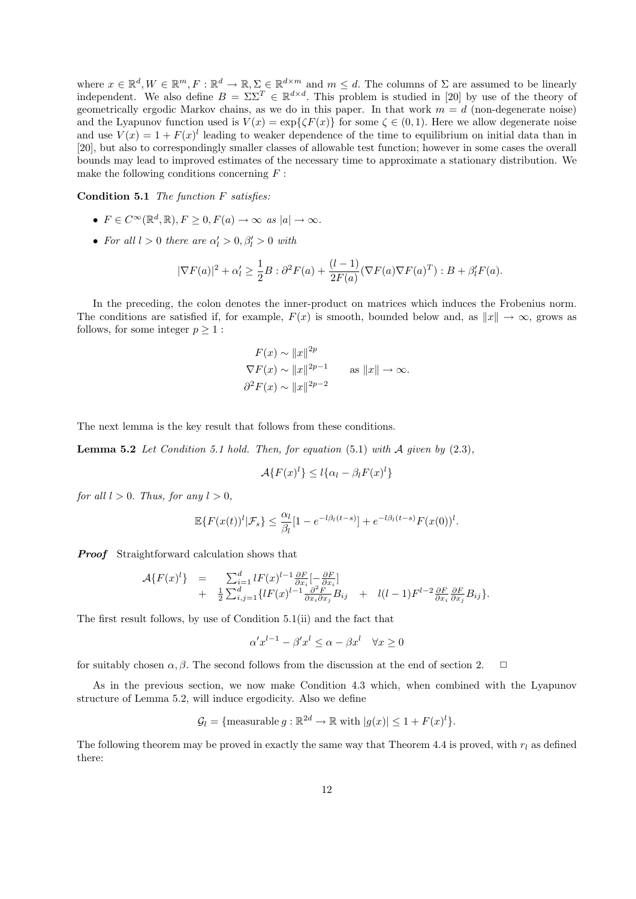where  $x \in \mathbb{R}^d, W \in \mathbb{R}^m, F : \mathbb{R}^d \to \mathbb{R}, \sum_{m} \in \mathbb{R}^{d \times m}$  and  $m \leq d$ . The columns of  $\Sigma$  are assumed to be linearly independent. We also define  $B = \Sigma \Sigma^T \in \mathbb{R}^{d \times d}$ . This problem is studied in [20] by use of the theory of geometrically ergodic Markov chains, as we do in this paper. In that work  $m = d$  (non-degenerate noise) and the Lyapunov function used is  $V(x) = \exp{\{\zeta F(x)\}}$  for some  $\zeta \in (0,1)$ . Here we allow degenerate noise and use  $V(x) = 1 + F(x)^l$  leading to weaker dependence of the time to equilibrium on initial data than in [20], but also to correspondingly smaller classes of allowable test function; however in some cases the overall bounds may lead to improved estimates of the necessary time to approximate a stationary distribution. We make the following conditions concerning  $F$ :

Condition 5.1 The function F satisfies:

- $F \in C^{\infty}(\mathbb{R}^d, \mathbb{R}), F \geq 0, F(a) \to \infty \text{ as } |a| \to \infty.$
- For all  $l > 0$  there are  $\alpha'_l > 0, \beta'_l > 0$  with

$$
|\nabla F(a)|^2 + \alpha'_l \ge \frac{1}{2}B : \partial^2 F(a) + \frac{(l-1)}{2F(a)}(\nabla F(a)\nabla F(a)^T) : B + \beta'_l F(a).
$$

In the preceding, the colon denotes the inner-product on matrices which induces the Frobenius norm. The conditions are satisfied if, for example,  $F(x)$  is smooth, bounded below and, as  $||x|| \to \infty$ , grows as follows, for some integer  $p \geq 1$ :

$$
F(x) \sim ||x||^{2p}
$$
  
\n
$$
\nabla F(x) \sim ||x||^{2p-1}
$$
 as  $||x|| \to \infty$ .  
\n
$$
\frac{\partial^2 F(x)}{\partial x^2} \sim ||x||^{2p-2}
$$

The next lemma is the key result that follows from these conditions.

**Lemma 5.2** Let Condition 5.1 hold. Then, for equation  $(5.1)$  with A given by  $(2.3)$ ,

$$
\mathcal{A}\lbrace F(x)^l\rbrace \leq l\lbrace \alpha_l - \beta_l F(x)^l\rbrace
$$

for all  $l > 0$ . Thus, for any  $l > 0$ ,

$$
\mathbb{E}\left\{F(x(t))^{l}|\mathcal{F}_{s}\right\} \leq \frac{\alpha_{l}}{\beta_{l}}[1 - e^{-l\beta_{l}(t-s)}] + e^{-l\beta_{l}(t-s)}F(x(0))^{l}.
$$

**Proof** Straightforward calculation shows that

$$
\mathcal{A}\lbrace F(x)^{l}\rbrace = \sum_{i=1}^{d} lF(x)^{l-1} \frac{\partial F}{\partial x_{i}}\left[-\frac{\partial F}{\partial x_{i}}\right] + \frac{1}{2} \sum_{i,j=1}^{d} \lbrace lF(x)^{l-1} \frac{\partial^{2} F}{\partial x_{i} \partial x_{j}} B_{ij} + l(l-1)F^{l-2} \frac{\partial F}{\partial x_{i}} \frac{\partial F}{\partial x_{j}} B_{ij} \rbrace.
$$

The first result follows, by use of Condition 5.1(ii) and the fact that

$$
\alpha' x^{l-1} - \beta' x^l \le \alpha - \beta x^l \quad \forall x \ge 0
$$

for suitably chosen  $\alpha, \beta$ . The second follows from the discussion at the end of section 2.

As in the previous section, we now make Condition 4.3 which, when combined with the Lyapunov structure of Lemma 5.2, will induce ergodicity. Also we define

$$
\mathcal{G}_l = \{ \text{measurable } g : \mathbb{R}^{2d} \to \mathbb{R} \text{ with } |g(x)| \leq 1 + F(x)^l \}.
$$

The following theorem may be proved in exactly the same way that Theorem 4.4 is proved, with  $r_l$  as defined there: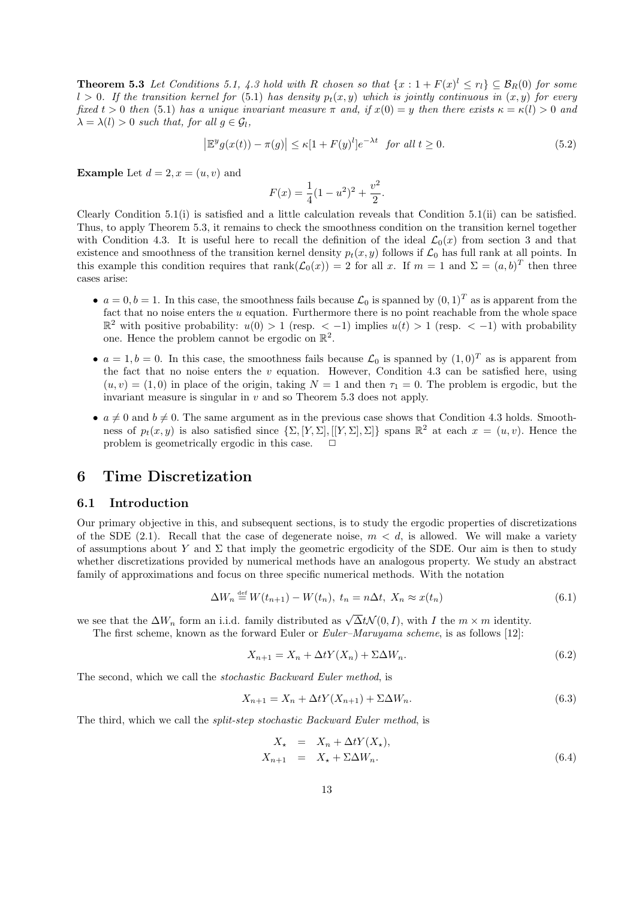**Theorem 5.3** Let Conditions 5.1, 4.3 hold with R chosen so that  $\{x: 1 + F(x)^{l} \leq r_l\} \subseteq \mathcal{B}_R(0)$  for some  $l > 0$ . If the transition kernel for (5.1) has density  $p_t(x, y)$  which is jointly continuous in  $(x, y)$  for every fixed  $t > 0$  then (5.1) has a unique invariant measure  $\pi$  and, if  $x(0) = y$  then there exists  $\kappa = \kappa(l) > 0$  and  $\lambda = \lambda(l) > 0$  such that, for all  $q \in \mathcal{G}_l$ ,

$$
\left|\mathbb{E}^y g(x(t)) - \pi(g)\right| \le \kappa [1 + F(y)^l] e^{-\lambda t} \quad \text{for all } t \ge 0. \tag{5.2}
$$

**Example** Let  $d = 2, x = (u, v)$  and

$$
F(x) = \frac{1}{4}(1 - u^2)^2 + \frac{v^2}{2}.
$$

Clearly Condition 5.1(i) is satisfied and a little calculation reveals that Condition 5.1(ii) can be satisfied. Thus, to apply Theorem 5.3, it remains to check the smoothness condition on the transition kernel together with Condition 4.3. It is useful here to recall the definition of the ideal  $\mathcal{L}_0(x)$  from section 3 and that existence and smoothness of the transition kernel density  $p_t(x, y)$  follows if  $\mathcal{L}_0$  has full rank at all points. In this example this condition requires that  $rank(\mathcal{L}_0(x)) = 2$  for all x. If  $m = 1$  and  $\Sigma = (a, b)^T$  then three cases arise:

- $a = 0, b = 1$ . In this case, the smoothness fails because  $\mathcal{L}_0$  is spanned by  $(0, 1)^T$  as is apparent from the fact that no noise enters the  $u$  equation. Furthermore there is no point reachable from the whole space  $\mathbb{R}^2$  with positive probability:  $u(0) > 1$  (resp.  $\lt -1$ ) implies  $u(t) > 1$  (resp.  $\lt -1$ ) with probability one. Hence the problem cannot be ergodic on  $\mathbb{R}^2$ .
- $a = 1, b = 0$ . In this case, the smoothness fails because  $\mathcal{L}_0$  is spanned by  $(1, 0)^T$  as is apparent from the fact that no noise enters the  $v$  equation. However, Condition 4.3 can be satisfied here, using  $(u, v) = (1, 0)$  in place of the origin, taking  $N = 1$  and then  $\tau_1 = 0$ . The problem is ergodic, but the invariant measure is singular in  $v$  and so Theorem 5.3 does not apply.
- $a \neq 0$  and  $b \neq 0$ . The same argument as in the previous case shows that Condition 4.3 holds. Smoothness of  $p_t(x, y)$  is also satisfied since  $\{\Sigma, [Y, \Sigma], [[Y, \Sigma], \Sigma]\}$  spans  $\mathbb{R}^2$  at each  $x = (u, v)$ . Hence the problem is geometrically ergodic in this case.  $\Box$

### 6 Time Discretization

#### 6.1 Introduction

Our primary objective in this, and subsequent sections, is to study the ergodic properties of discretizations of the SDE (2.1). Recall that the case of degenerate noise,  $m < d$ , is allowed. We will make a variety of assumptions about Y and  $\Sigma$  that imply the geometric ergodicity of the SDE. Our aim is then to study whether discretizations provided by numerical methods have an analogous property. We study an abstract family of approximations and focus on three specific numerical methods. With the notation

$$
\Delta W_n \stackrel{\text{def}}{=} W(t_{n+1}) - W(t_n), \ t_n = n\Delta t, \ X_n \approx x(t_n) \tag{6.1}
$$

we see that the  $\Delta W_n$  form an i.i.d. family distributed as  $\sqrt{\Delta t} \mathcal{N}(0, I)$ , with I the  $m \times m$  identity.

The first scheme, known as the forward Euler or *Euler–Maruyama scheme*, is as follows [12]:

$$
X_{n+1} = X_n + \Delta t Y(X_n) + \Sigma \Delta W_n. \tag{6.2}
$$

The second, which we call the stochastic Backward Euler method, is

$$
X_{n+1} = X_n + \Delta t Y(X_{n+1}) + \Sigma \Delta W_n. \tag{6.3}
$$

The third, which we call the split-step stochastic Backward Euler method, is

$$
X_{\star} = X_n + \Delta t Y(X_{\star}),
$$
  
\n
$$
X_{n+1} = X_{\star} + \Sigma \Delta W_n.
$$
\n(6.4)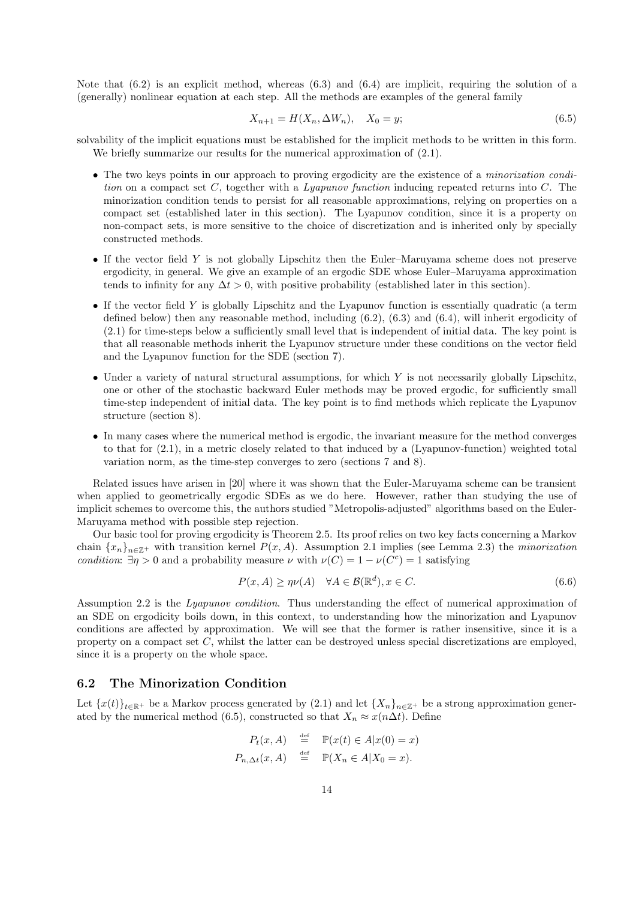Note that  $(6.2)$  is an explicit method, whereas  $(6.3)$  and  $(6.4)$  are implicit, requiring the solution of a (generally) nonlinear equation at each step. All the methods are examples of the general family

$$
X_{n+1} = H(X_n, \Delta W_n), \quad X_0 = y; \tag{6.5}
$$

solvability of the implicit equations must be established for the implicit methods to be written in this form. We briefly summarize our results for the numerical approximation of  $(2.1)$ .

- The two keys points in our approach to proving ergodicity are the existence of a *minorization condi*tion on a compact set C, together with a Lyapunov function inducing repeated returns into C. The minorization condition tends to persist for all reasonable approximations, relying on properties on a compact set (established later in this section). The Lyapunov condition, since it is a property on non-compact sets, is more sensitive to the choice of discretization and is inherited only by specially constructed methods.
- If the vector field Y is not globally Lipschitz then the Euler–Maruyama scheme does not preserve ergodicity, in general. We give an example of an ergodic SDE whose Euler–Maruyama approximation tends to infinity for any  $\Delta t > 0$ , with positive probability (established later in this section).
- If the vector field Y is globally Lipschitz and the Lyapunov function is essentially quadratic (a term defined below) then any reasonable method, including (6.2), (6.3) and (6.4), will inherit ergodicity of (2.1) for time-steps below a sufficiently small level that is independent of initial data. The key point is that all reasonable methods inherit the Lyapunov structure under these conditions on the vector field and the Lyapunov function for the SDE (section 7).
- Under a variety of natural structural assumptions, for which Y is not necessarily globally Lipschitz, one or other of the stochastic backward Euler methods may be proved ergodic, for sufficiently small time-step independent of initial data. The key point is to find methods which replicate the Lyapunov structure (section 8).
- In many cases where the numerical method is ergodic, the invariant measure for the method converges to that for (2.1), in a metric closely related to that induced by a (Lyapunov-function) weighted total variation norm, as the time-step converges to zero (sections 7 and 8).

Related issues have arisen in [20] where it was shown that the Euler-Maruyama scheme can be transient when applied to geometrically ergodic SDEs as we do here. However, rather than studying the use of implicit schemes to overcome this, the authors studied "Metropolis-adjusted" algorithms based on the Euler-Maruyama method with possible step rejection.

Our basic tool for proving ergodicity is Theorem 2.5. Its proof relies on two key facts concerning a Markov chain  $\{x_n\}_{n\in\mathbb{Z}^+}$  with transition kernel  $P(x, A)$ . Assumption 2.1 implies (see Lemma 2.3) the *minorization* condition:  $\exists \eta > 0$  and a probability measure  $\nu$  with  $\nu(C) = 1 - \nu(C^c) = 1$  satisfying

$$
P(x, A) \ge \eta \nu(A) \quad \forall A \in \mathcal{B}(\mathbb{R}^d), x \in C. \tag{6.6}
$$

Assumption 2.2 is the Lyapunov condition. Thus understanding the effect of numerical approximation of an SDE on ergodicity boils down, in this context, to understanding how the minorization and Lyapunov conditions are affected by approximation. We will see that the former is rather insensitive, since it is a property on a compact set C, whilst the latter can be destroyed unless special discretizations are employed, since it is a property on the whole space.

### 6.2 The Minorization Condition

Let  ${x(t)}_{t\in\mathbb{R}^+}$  be a Markov process generated by (2.1) and let  ${X_n}_{n\in\mathbb{Z}^+}$  be a strong approximation generated by the numerical method (6.5), constructed so that  $X_n \approx x(n\Delta t)$ . Define

$$
P_t(x, A) \stackrel{\text{def}}{=} \mathbb{P}(x(t) \in A | x(0) = x)
$$
  

$$
P_{n, \Delta t}(x, A) \stackrel{\text{def}}{=} \mathbb{P}(X_n \in A | X_0 = x).
$$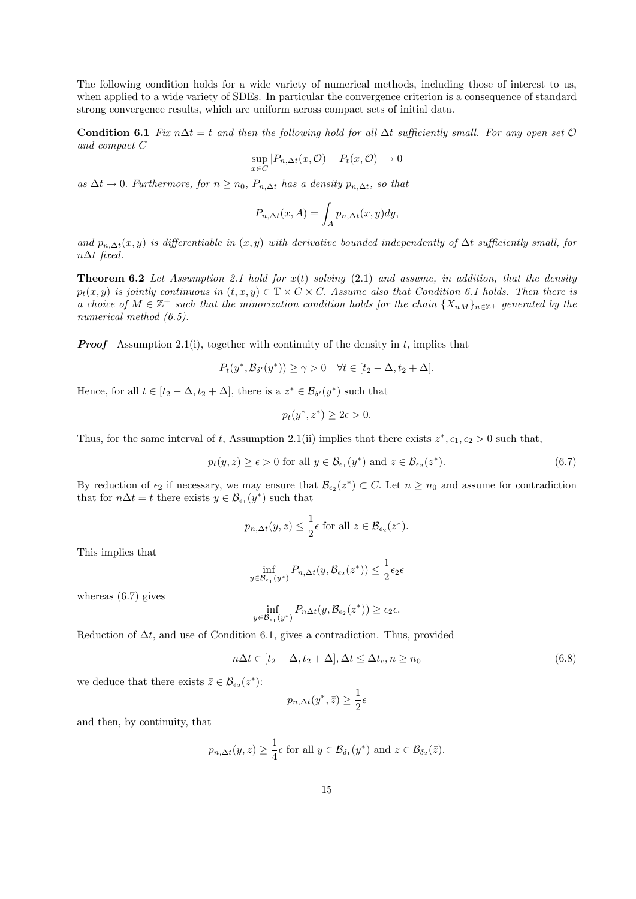The following condition holds for a wide variety of numerical methods, including those of interest to us, when applied to a wide variety of SDEs. In particular the convergence criterion is a consequence of standard strong convergence results, which are uniform across compact sets of initial data.

Condition 6.1 Fix n∆t = t and then the following hold for all  $\Delta t$  sufficiently small. For any open set  $\mathcal O$ and compact C

$$
\sup_{x \in C} |P_{n,\Delta t}(x, \mathcal{O}) - P_t(x, \mathcal{O})| \to 0
$$

as  $\Delta t \to 0$ . Furthermore, for  $n \geq n_0$ ,  $P_{n,\Delta t}$  has a density  $p_{n,\Delta t}$ , so that

$$
P_{n,\Delta t}(x,A) = \int_A p_{n,\Delta t}(x,y) dy,
$$

and  $p_{n,\Delta t}(x, y)$  is differentiable in  $(x, y)$  with derivative bounded independently of  $\Delta t$  sufficiently small, for  $n\Delta t$  fixed.

**Theorem 6.2** Let Assumption 2.1 hold for  $x(t)$  solving (2.1) and assume, in addition, that the density  $p_t(x, y)$  is jointly continuous in  $(t, x, y) \in \mathbb{T} \times C \times C$ . Assume also that Condition 6.1 holds. Then there is a choice of  $M \in \mathbb{Z}^+$  such that the minorization condition holds for the chain  $\{X_{nM}\}_{n\in\mathbb{Z}^+}$  generated by the numerical method  $(6.5)$ .

**Proof** Assumption 2.1(i), together with continuity of the density in t, implies that

$$
P_t(y^*, \mathcal{B}_{\delta'}(y^*)) \ge \gamma > 0 \quad \forall t \in [t_2 - \Delta, t_2 + \Delta].
$$

Hence, for all  $t \in [t_2 - \Delta, t_2 + \Delta]$ , there is a  $z^* \in \mathcal{B}_{\delta'}(y^*)$  such that

$$
p_t(y^*, z^*) \ge 2\epsilon > 0.
$$

Thus, for the same interval of t, Assumption 2.1(ii) implies that there exists  $z^*, \epsilon_1, \epsilon_2 > 0$  such that,

$$
p_t(y, z) \ge \epsilon > 0 \text{ for all } y \in \mathcal{B}_{\epsilon_1}(y^*) \text{ and } z \in \mathcal{B}_{\epsilon_2}(z^*).
$$
 (6.7)

By reduction of  $\epsilon_2$  if necessary, we may ensure that  $\mathcal{B}_{\epsilon_2}(z^*) \subset C$ . Let  $n \geq n_0$  and assume for contradiction that for  $n\Delta t = t$  there exists  $y \in \mathcal{B}_{\epsilon_1}(y^*)$  such that

$$
p_{n,\Delta t}(y,z) \leq \frac{1}{2}\epsilon
$$
 for all  $z \in \mathcal{B}_{\epsilon_2}(z^*).$ 

This implies that

$$
\inf_{y \in \mathcal{B}_{\epsilon_1}(y^*)} P_{n,\Delta t}(y, \mathcal{B}_{\epsilon_2}(z^*)) \le \frac{1}{2} \epsilon_2 \epsilon
$$

whereas (6.7) gives

$$
\inf_{y \in \mathcal{B}_{\epsilon_1}(y^*)} P_{n\Delta t}(y, \mathcal{B}_{\epsilon_2}(z^*)) \ge \epsilon_2 \epsilon.
$$

Reduction of  $\Delta t$ , and use of Condition 6.1, gives a contradiction. Thus, provided

$$
n\Delta t \in [t_2 - \Delta, t_2 + \Delta], \Delta t \le \Delta t_c, n \ge n_0
$$
\n
$$
(6.8)
$$

we deduce that there exists  $\bar{z} \in \mathcal{B}_{\epsilon_2}(z^*)$ :

$$
p_{n,\Delta t}(y^*,\bar{z}) \ge \frac{1}{2}\epsilon
$$

and then, by continuity, that

$$
p_{n,\Delta t}(y, z) \geq \frac{1}{4}\epsilon
$$
 for all  $y \in \mathcal{B}_{\delta_1}(y^*)$  and  $z \in \mathcal{B}_{\delta_2}(\bar{z})$ .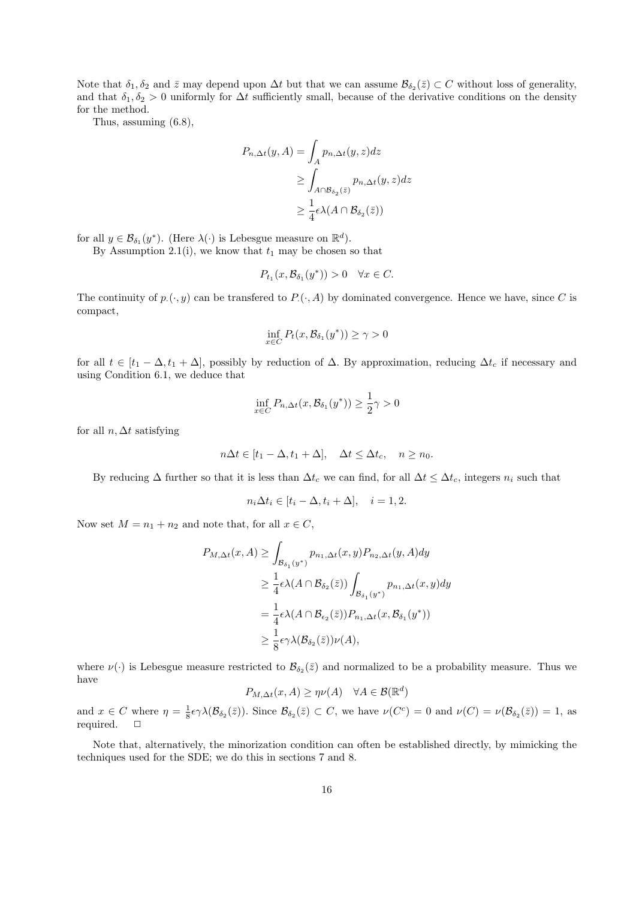Note that  $\delta_1, \delta_2$  and  $\bar{z}$  may depend upon  $\Delta t$  but that we can assume  $\mathcal{B}_{\delta_2}(\bar{z}) \subset C$  without loss of generality, and that  $\delta_1, \delta_2 > 0$  uniformly for  $\Delta t$  sufficiently small, because of the derivative conditions on the density for the method.

Thus, assuming (6.8),

$$
P_{n,\Delta t}(y, A) = \int_A p_{n,\Delta t}(y, z) dz
$$
  
\n
$$
\geq \int_{A \cap B_{\delta_2}(\bar{z})} p_{n,\Delta t}(y, z) dz
$$
  
\n
$$
\geq \frac{1}{4} \epsilon \lambda (A \cap B_{\delta_2}(\bar{z}))
$$

for all  $y \in \mathcal{B}_{\delta_1}(y^*)$ . (Here  $\lambda(\cdot)$  is Lebesgue measure on  $\mathbb{R}^d$ ).

By Assumption 2.1(i), we know that  $t_1$  may be chosen so that

$$
P_{t_1}(x,\mathcal{B}_{\delta_1}(y^*)) > 0 \quad \forall x \in C.
$$

The continuity of  $p_{\cdot}(\cdot, y)$  can be transfered to  $P_{\cdot}(\cdot, A)$  by dominated convergence. Hence we have, since C is compact,

$$
\inf_{x \in C} P_t(x, \mathcal{B}_{\delta_1}(y^*)) \ge \gamma > 0
$$

for all  $t \in [t_1 - \Delta, t_1 + \Delta]$ , possibly by reduction of  $\Delta$ . By approximation, reducing  $\Delta t_c$  if necessary and using Condition 6.1, we deduce that

$$
\inf_{x \in C} P_{n, \Delta t}(x, \mathcal{B}_{\delta_1}(y^*)) \ge \frac{1}{2}\gamma > 0
$$

for all  $n, \Delta t$  satisfying

$$
n\Delta t \in [t_1 - \Delta, t_1 + \Delta], \quad \Delta t \le \Delta t_c, \quad n \ge n_0.
$$

By reducing  $\Delta$  further so that it is less than  $\Delta t_c$  we can find, for all  $\Delta t \leq \Delta t_c$ , integers  $n_i$  such that

$$
n_i \Delta t_i \in [t_i - \Delta, t_i + \Delta], \quad i = 1, 2.
$$

Now set  $M = n_1 + n_2$  and note that, for all  $x \in C$ ,

$$
P_{M,\Delta t}(x, A) \ge \int_{\mathcal{B}_{\delta_1}(y^*)} p_{n_1, \Delta t}(x, y) P_{n_2, \Delta t}(y, A) dy
$$
  
\n
$$
\ge \frac{1}{4} \epsilon \lambda(A \cap \mathcal{B}_{\delta_2}(\bar{z})) \int_{\mathcal{B}_{\delta_1}(y^*)} p_{n_1, \Delta t}(x, y) dy
$$
  
\n
$$
= \frac{1}{4} \epsilon \lambda(A \cap \mathcal{B}_{\epsilon_2}(\bar{z})) P_{n_1, \Delta t}(x, \mathcal{B}_{\delta_1}(y^*))
$$
  
\n
$$
\ge \frac{1}{8} \epsilon \gamma \lambda(\mathcal{B}_{\delta_2}(\bar{z})) \nu(A),
$$

where  $\nu(\cdot)$  is Lebesgue measure restricted to  $\mathcal{B}_{\delta_2}(\bar{z})$  and normalized to be a probability measure. Thus we have

$$
P_{M,\Delta t}(x,A) \ge \eta \nu(A) \quad \forall A \in \mathcal{B}(\mathbb{R}^d)
$$

and  $x \in C$  where  $\eta = \frac{1}{8} \epsilon \gamma \lambda (\mathcal{B}_{\delta_2}(\bar{z}))$ . Since  $\mathcal{B}_{\delta_2}(\bar{z}) \subset C$ , we have  $\nu(C^c) = 0$  and  $\nu(C) = \nu(\mathcal{B}_{\delta_2}(\bar{z})) = 1$ , as required.  $\Box$ 

Note that, alternatively, the minorization condition can often be established directly, by mimicking the techniques used for the SDE; we do this in sections 7 and 8.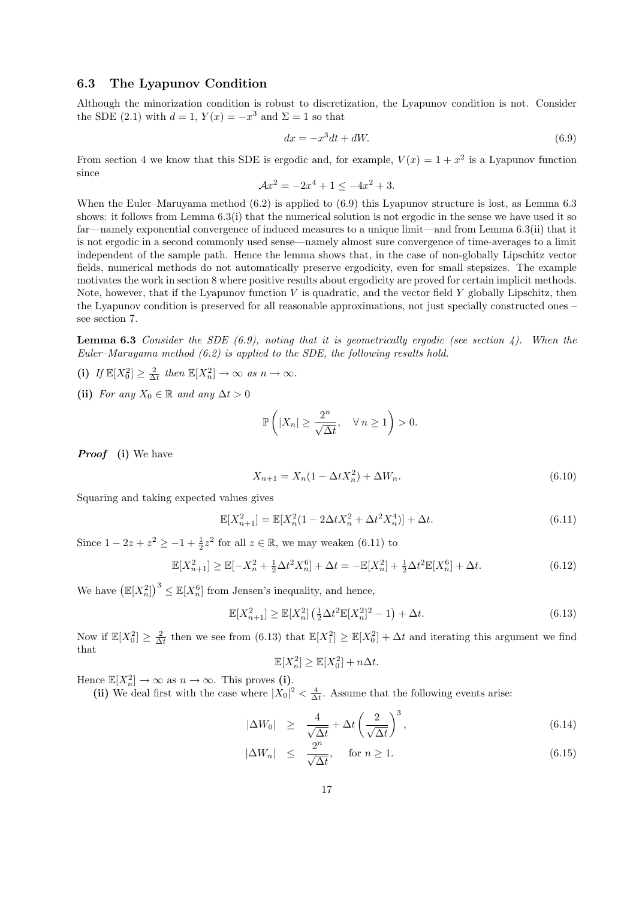### 6.3 The Lyapunov Condition

Although the minorization condition is robust to discretization, the Lyapunov condition is not. Consider the SDE (2.1) with  $d = 1$ ,  $Y(x) = -x^3$  and  $\Sigma = 1$  so that

$$
dx = -x^3dt + dW.\tag{6.9}
$$

From section 4 we know that this SDE is ergodic and, for example,  $V(x) = 1 + x^2$  is a Lyapunov function since

$$
\mathcal{A}x^2 = -2x^4 + 1 \le -4x^2 + 3.
$$

When the Euler–Maruyama method  $(6.2)$  is applied to  $(6.9)$  this Lyapunov structure is lost, as Lemma 6.3 shows: it follows from Lemma 6.3(i) that the numerical solution is not ergodic in the sense we have used it so far—namely exponential convergence of induced measures to a unique limit—and from Lemma 6.3(ii) that it is not ergodic in a second commonly used sense—namely almost sure convergence of time-averages to a limit independent of the sample path. Hence the lemma shows that, in the case of non-globally Lipschitz vector fields, numerical methods do not automatically preserve ergodicity, even for small stepsizes. The example motivates the work in section 8 where positive results about ergodicity are proved for certain implicit methods. Note, however, that if the Lyapunov function  $V$  is quadratic, and the vector field  $Y$  globally Lipschitz, then the Lyapunov condition is preserved for all reasonable approximations, not just specially constructed ones – see section 7.

**Lemma 6.3** Consider the SDE (6.9), noting that it is geometrically ergodic (see section 4). When the Euler–Maruyama method (6.2) is applied to the SDE, the following results hold.

- (i) If  $\mathbb{E}[X_0^2] \geq \frac{2}{\Delta t}$  then  $\mathbb{E}[X_n^2] \to \infty$  as  $n \to \infty$ .
- (ii) For any  $X_0 \in \mathbb{R}$  and any  $\Delta t > 0$

$$
\mathbb{P}\left(|X_n| \geq \frac{2^n}{\sqrt{\Delta t}}, \quad \forall n \geq 1\right) > 0.
$$

*Proof* (i) We have

$$
X_{n+1} = X_n(1 - \Delta t X_n^2) + \Delta W_n.
$$
\n(6.10)

Squaring and taking expected values gives

$$
\mathbb{E}[X_{n+1}^2] = \mathbb{E}[X_n^2(1 - 2\Delta t X_n^2 + \Delta t^2 X_n^4)] + \Delta t.
$$
\n(6.11)

Since  $1 - 2z + z^2 \ge -1 + \frac{1}{2}z^2$  for all  $z \in \mathbb{R}$ , we may weaken (6.11) to

$$
\mathbb{E}[X_{n+1}^2] \ge \mathbb{E}[-X_n^2 + \frac{1}{2}\Delta t^2 X_n^6] + \Delta t = -\mathbb{E}[X_n^2] + \frac{1}{2}\Delta t^2 \mathbb{E}[X_n^6] + \Delta t.
$$
 (6.12)

We have  $(\mathbb{E}[X_n^2])^3 \leq \mathbb{E}[X_n^6]$  from Jensen's inequality, and hence,

$$
\mathbb{E}[X_{n+1}^2] \ge \mathbb{E}[X_n^2] \left(\frac{1}{2} \Delta t^2 \mathbb{E}[X_n^2]^2 - 1\right) + \Delta t. \tag{6.13}
$$

Now if  $\mathbb{E}[X_0^2] \geq \frac{2}{\Delta t}$  then we see from (6.13) that  $\mathbb{E}[X_1^2] \geq \mathbb{E}[X_0^2] + \Delta t$  and iterating this argument we find that

$$
\mathbb{E}[X_n^2] \ge \mathbb{E}[X_0^2] + n\Delta t.
$$

Hence  $\mathbb{E}[X_n^2] \to \infty$  as  $n \to \infty$ . This proves (i).

(ii) We deal first with the case where  $|X_0|^2 < \frac{4}{\Delta t}$ . Assume that the following events arise:

$$
|\Delta W_0| \ge \frac{4}{\sqrt{\Delta t}} + \Delta t \left(\frac{2}{\sqrt{\Delta t}}\right)^3,\tag{6.14}
$$

$$
|\Delta W_n| \le \frac{2^n}{\sqrt{\Delta t}}, \quad \text{for } n \ge 1. \tag{6.15}
$$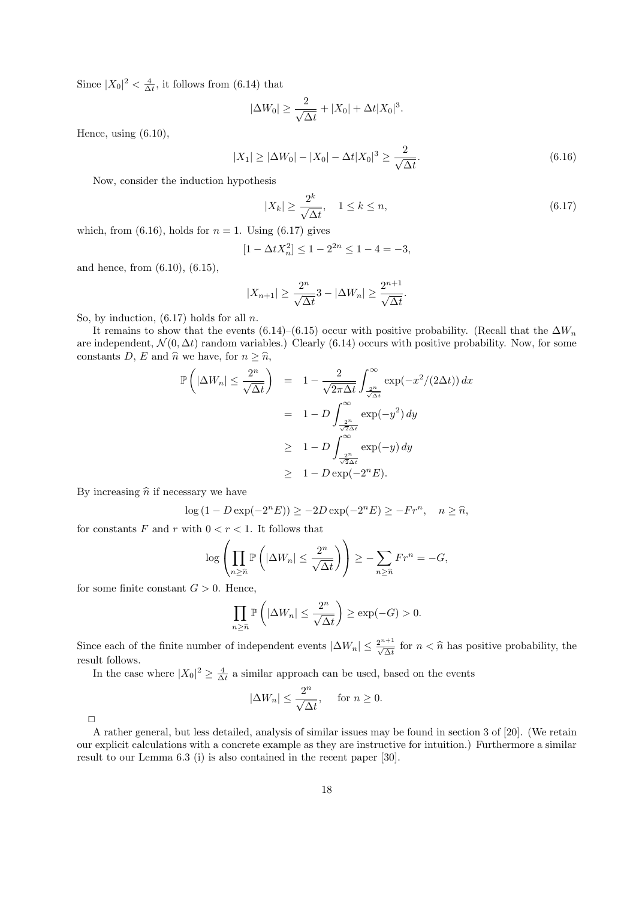Since  $|X_0|^2 < \frac{4}{\Delta t}$ , it follows from (6.14) that

$$
|\Delta W_0| \ge \frac{2}{\sqrt{\Delta t}} + |X_0| + \Delta t |X_0|^3.
$$

Hence, using (6.10),

$$
|X_1| \ge |\Delta W_0| - |X_0| - \Delta t |X_0|^3 \ge \frac{2}{\sqrt{\Delta t}}.\tag{6.16}
$$

Now, consider the induction hypothesis

$$
|X_k| \ge \frac{2^k}{\sqrt{\Delta t}}, \quad 1 \le k \le n,\tag{6.17}
$$

which, from (6.16), holds for  $n = 1$ . Using (6.17) gives

$$
[1 - \Delta t X_n^2] \le 1 - 2^{2n} \le 1 - 4 = -3,
$$

and hence, from (6.10), (6.15),

$$
|X_{n+1}| \ge \frac{2^n}{\sqrt{\Delta t}} 3 - |\Delta W_n| \ge \frac{2^{n+1}}{\sqrt{\Delta t}}.
$$

So, by induction,  $(6.17)$  holds for all n.

It remains to show that the events (6.14)–(6.15) occur with positive probability. (Recall that the  $\Delta W_n$ are independent,  $\mathcal{N}(0, \Delta t)$  random variables.) Clearly (6.14) occurs with positive probability. Now, for some constants D, E and  $\hat{n}$  we have, for  $n \geq \hat{n}$ ,

$$
\mathbb{P}\left(|\Delta W_n| \leq \frac{2^n}{\sqrt{\Delta t}}\right) = 1 - \frac{2}{\sqrt{2\pi\Delta t}} \int_{\frac{2^n}{\sqrt{\Delta t}}}^{\infty} \exp(-x^2/(2\Delta t)) dx
$$

$$
= 1 - D \int_{\frac{2^n}{\sqrt{2\Delta t}}}^{\infty} \exp(-y^2) dy
$$

$$
\geq 1 - D \int_{\frac{2^n}{\sqrt{2\Delta t}}}^{\infty} \exp(-y) dy
$$

$$
\geq 1 - D \exp(-2^n E).
$$

By increasing  $\hat{n}$  if necessary we have

$$
\log(1 - D\exp(-2^n E)) \ge -2D\exp(-2^n E) \ge -Fr^n, \quad n \ge \widehat{n},
$$

for constants  $F$  and  $r$  with  $0 < r < 1.$  It follows that

$$
\log \left( \prod_{n \geq \widehat{n}} \mathbb{P} \left( |\Delta W_n| \leq \frac{2^n}{\sqrt{\Delta t}} \right) \right) \geq - \sum_{n \geq \widehat{n}} Fr^n = -G,
$$

for some finite constant  $G > 0$ . Hence,

$$
\prod_{n\geq \widehat{n}} \mathbb{P}\left(|\Delta W_n| \leq \frac{2^n}{\sqrt{\Delta t}}\right) \geq \exp(-G) > 0.
$$

Since each of the finite number of independent events  $|\Delta W_n| \leq \frac{2^{n+1}}{\sqrt{\Delta t}}$  for  $n < \hat{n}$  has positive probability, the result follows.

In the case where  $|X_0|^2 \geq \frac{4}{\Delta t}$  a similar approach can be used, based on the events

$$
|\Delta W_n| \le \frac{2^n}{\sqrt{\Delta t}}, \quad \text{ for } n \ge 0.
$$

 $\Box$ 

A rather general, but less detailed, analysis of similar issues may be found in section 3 of [20]. (We retain our explicit calculations with a concrete example as they are instructive for intuition.) Furthermore a similar result to our Lemma 6.3 (i) is also contained in the recent paper [30].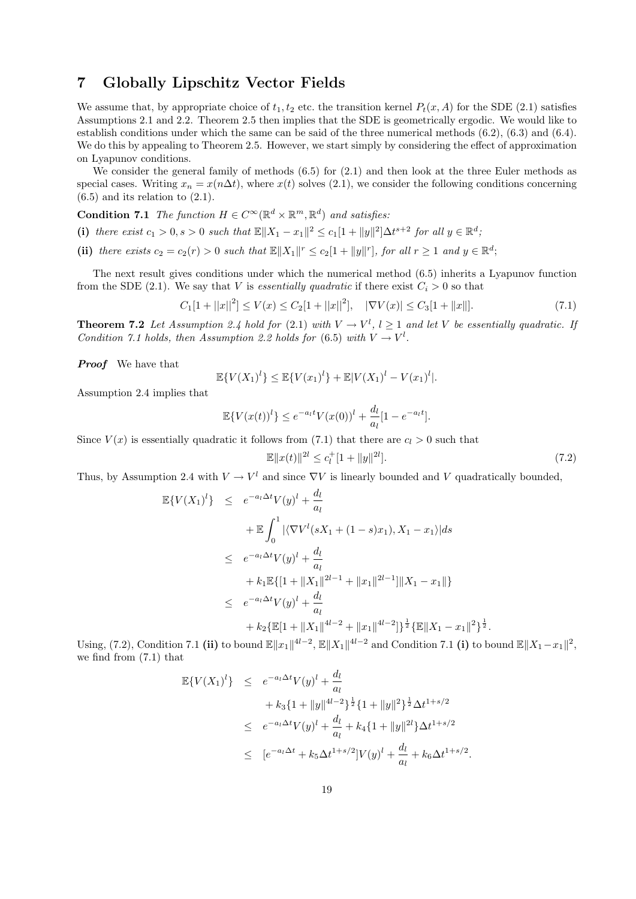# 7 Globally Lipschitz Vector Fields

We assume that, by appropriate choice of  $t_1, t_2$  etc. the transition kernel  $P_t(x, A)$  for the SDE (2.1) satisfies Assumptions 2.1 and 2.2. Theorem 2.5 then implies that the SDE is geometrically ergodic. We would like to establish conditions under which the same can be said of the three numerical methods (6.2), (6.3) and (6.4). We do this by appealing to Theorem 2.5. However, we start simply by considering the effect of approximation on Lyapunov conditions.

We consider the general family of methods  $(6.5)$  for  $(2.1)$  and then look at the three Euler methods as special cases. Writing  $x_n = x(n\Delta t)$ , where  $x(t)$  solves (2.1), we consider the following conditions concerning  $(6.5)$  and its relation to  $(2.1)$ .

**Condition 7.1** The function  $H \in C^{\infty}(\mathbb{R}^d \times \mathbb{R}^m, \mathbb{R}^d)$  and satisfies:

(i) there exist  $c_1 > 0$ ,  $s > 0$  such that  $\mathbb{E} ||X_1 - x_1||^2 \le c_1 [1 + ||y||^2] \Delta t^{s+2}$  for all  $y \in \mathbb{R}^d$ ;

(ii) there exists  $c_2 = c_2(r) > 0$  such that  $\mathbb{E} ||X_1||^r \le c_2[1 + ||y||^r]$ , for all  $r \ge 1$  and  $y \in \mathbb{R}^d$ ;

The next result gives conditions under which the numerical method (6.5) inherits a Lyapunov function from the SDE (2.1). We say that V is essentially quadratic if there exist  $C_i > 0$  so that

$$
C_1[1+||x||^2] \le V(x) \le C_2[1+||x||^2], \quad |\nabla V(x)| \le C_3[1+||x||]. \tag{7.1}
$$

**Theorem 7.2** Let Assumption 2.4 hold for (2.1) with  $V \to V^l$ ,  $l \ge 1$  and let V be essentially quadratic. If Condition 7.1 holds, then Assumption 2.2 holds for (6.5) with  $V \to V^l$ .

**Proof** We have that

$$
\mathbb{E}\{V(X_1)^l\} \le \mathbb{E}\{V(x_1)^l\} + \mathbb{E}|V(X_1)^l - V(x_1)^l|.
$$

Assumption 2.4 implies that

$$
\mathbb{E}\{V(x(t))^l\} \le e^{-a_l t} V(x(0))^l + \frac{d_l}{a_l} [1 - e^{-a_l t}].
$$

Since  $V(x)$  is essentially quadratic it follows from (7.1) that there are  $c_l > 0$  such that

$$
\mathbb{E}||x(t)||^{2l} \le c_l^+[1+||y||^{2l}].\tag{7.2}
$$

Thus, by Assumption 2.4 with  $V \to V^l$  and since  $\nabla V$  is linearly bounded and V quadratically bounded,

$$
\mathbb{E}\{V(X_1)^l\} \leq e^{-a_l \Delta t} V(y)^l + \frac{d_l}{a_l}
$$
  
+ 
$$
\mathbb{E} \int_0^1 |\langle \nabla V^l(sX_1 + (1-s)x_1), X_1 - x_1 \rangle| ds
$$
  

$$
\leq e^{-a_l \Delta t} V(y)^l + \frac{d_l}{a_l}
$$
  
+ 
$$
k_1 \mathbb{E}\{[1 + ||X_1||^{2l-1} + ||x_1||^{2l-1}]\|X_1 - x_1\|\}
$$
  

$$
\leq e^{-a_l \Delta t} V(y)^l + \frac{d_l}{a_l}
$$
  
+ 
$$
k_2 \{\mathbb{E}[1 + ||X_1||^{4l-2} + ||x_1||^{4l-2}]\}^{\frac{1}{2}} \{\mathbb{E}\|X_1 - x_1\|^2\}^{\frac{1}{2}}.
$$

Using, (7.2), Condition 7.1 (ii) to bound  $\mathbb{E}||x_1||^{4l-2}$ ,  $\mathbb{E}||X_1||^{4l-2}$  and Condition 7.1 (i) to bound  $\mathbb{E}||X_1-x_1||^2$ , we find from (7.1) that

$$
\mathbb{E}\{V(X_1)^l\} \leq e^{-a_l\Delta t}V(y)^l + \frac{d_l}{a_l}
$$
  
+  $k_3\{1 + ||y||^{4l-2}\}^{\frac{1}{2}}\{1 + ||y||^2\}^{\frac{1}{2}}\Delta t^{1+s/2}$   

$$
\leq e^{-a_l\Delta t}V(y)^l + \frac{d_l}{a_l} + k_4\{1 + ||y||^{2l}\}\Delta t^{1+s/2}
$$
  

$$
\leq [e^{-a_l\Delta t} + k_5\Delta t^{1+s/2}]V(y)^l + \frac{d_l}{a_l} + k_6\Delta t^{1+s/2}.
$$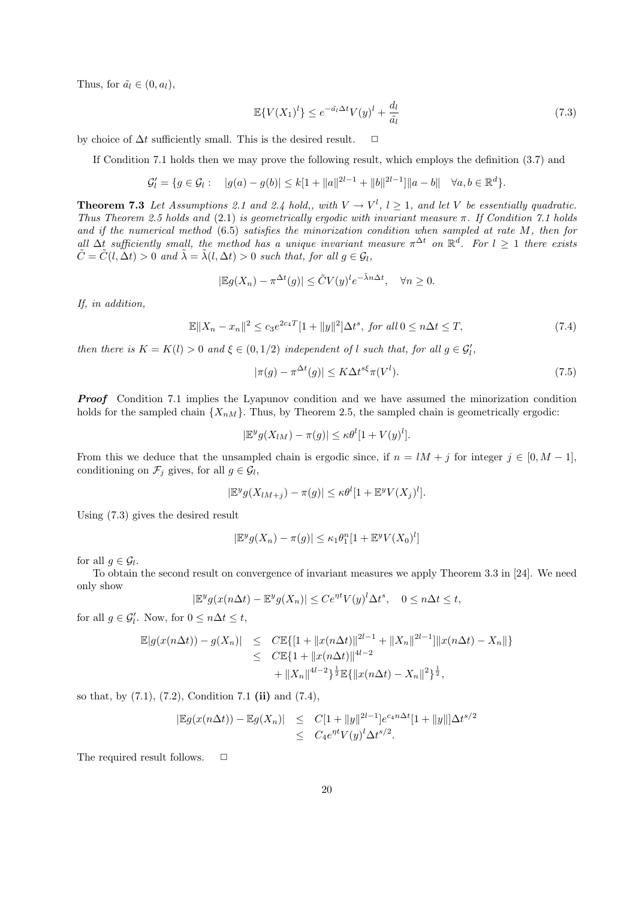Thus, for  $\tilde{a}_l \in (0, a_l)$ ,

$$
\mathbb{E}\{V(X_1)^l\} \le e^{-\tilde{a}_l \Delta t} V(y)^l + \frac{d_l}{\tilde{a}_l} \tag{7.3}
$$

by choice of  $\Delta t$  sufficiently small. This is the desired result.  $\Box$ 

If Condition 7.1 holds then we may prove the following result, which employs the definition (3.7) and

$$
\mathcal{G}'_l = \{ g \in \mathcal{G}_l : \quad |g(a) - g(b)| \leq k[1 + ||a||^{2l-1} + ||b||^{2l-1}] ||a - b|| \quad \forall a, b \in \mathbb{R}^d \}.
$$

**Theorem 7.3** Let Assumptions 2.1 and 2.4 hold,, with  $V \to V^l$ ,  $l \geq 1$ , and let V be essentially quadratic. Thus Theorem 2.5 holds and (2.1) is geometrically ergodic with invariant measure  $\pi$ . If Condition 7.1 holds and if the numerical method (6.5) satisfies the minorization condition when sampled at rate M, then for all  $\Delta t$  sufficiently small, the method has a unique invariant measure  $\pi^{\Delta t}$  on  $\mathbb{R}^d$ . For  $l \geq 1$  there exists  $\tilde{C} = \tilde{C}(l, \Delta t) > 0$  and  $\tilde{\lambda} = \tilde{\lambda}(l, \Delta t) > 0$  such that, for all  $q \in \mathcal{G}_l$ ,

$$
|\mathbb{E}g(X_n) - \pi^{\Delta t}(g)| \leq \tilde{C}V(y)^l e^{-\tilde{\lambda}n\Delta t}, \quad \forall n \geq 0.
$$

If, in addition,

$$
\mathbb{E}\|X_n - x_n\|^2 \le c_3 e^{2c_4 T} [1 + \|y\|^2] \Delta t^s, \text{ for all } 0 \le n \Delta t \le T,
$$
\n(7.4)

then there is  $K = K(l) > 0$  and  $\xi \in (0, 1/2)$  independent of l such that, for all  $g \in \mathcal{G}'_l$ ,

$$
|\pi(g) - \pi^{\Delta t}(g)| \le K \Delta t^{s\xi} \pi(V^l). \tag{7.5}
$$

**Proof** Condition 7.1 implies the Lyapunov condition and we have assumed the minorization condition holds for the sampled chain  $\{X_{nM}\}\$ . Thus, by Theorem 2.5, the sampled chain is geometrically ergodic:

$$
|\mathbb{E}^y g(X_{lM}) - \pi(g)| \leq \kappa \theta^l [1 + V(y)^l].
$$

From this we deduce that the unsampled chain is ergodic since, if  $n = lM + j$  for integer  $j \in [0, M - 1]$ , conditioning on  $\mathcal{F}_j$  gives, for all  $g \in \mathcal{G}_l$ ,

$$
|\mathbb{E}^y g(X_{lM+j}) - \pi(g)| \leq \kappa \theta^l [1 + \mathbb{E}^y V(X_j)^l].
$$

Using (7.3) gives the desired result

$$
|\mathbb{E}^y g(X_n) - \pi(g)| \le \kappa_1 \theta_1^n [1 + \mathbb{E}^y V(X_0)^l]
$$

for all  $g \in \mathcal{G}_l$ .

To obtain the second result on convergence of invariant measures we apply Theorem 3.3 in [24]. We need only show

$$
|\mathbb{E}^y g(x(n\Delta t) - \mathbb{E}^y g(X_n)| \le Ce^{\eta t} V(y)^l \Delta t^s, \quad 0 \le n\Delta t \le t,
$$

for all  $g \in \mathcal{G}'_l$ . Now, for  $0 \leq n\Delta t \leq t$ ,

$$
\mathbb{E}|g(x(n\Delta t)) - g(X_n)| \leq C \mathbb{E}\{[1 + ||x(n\Delta t)||^{2l-1} + ||X_n||^{2l-1}]\|x(n\Delta t) - X_n\|\}
$$
  
\n
$$
\leq C \mathbb{E}\{1 + ||x(n\Delta t)||^{4l-2} + ||X_n||^{2l-1}\|x(n\Delta t) - X_n\|^2\}^{\frac{1}{2}},
$$

so that, by  $(7.1)$ ,  $(7.2)$ , Condition 7.1 (ii) and  $(7.4)$ ,

$$
|\mathbb{E}g(x(n\Delta t)) - \mathbb{E}g(X_n)| \leq C[1 + ||y||^{2l-1}]e^{c_4 n \Delta t}[1 + ||y||]\Delta t^{s/2}
$$
  
\n $\leq C_4 e^{nt}V(y)^l \Delta t^{s/2}.$ 

The required result follows.  $\Box$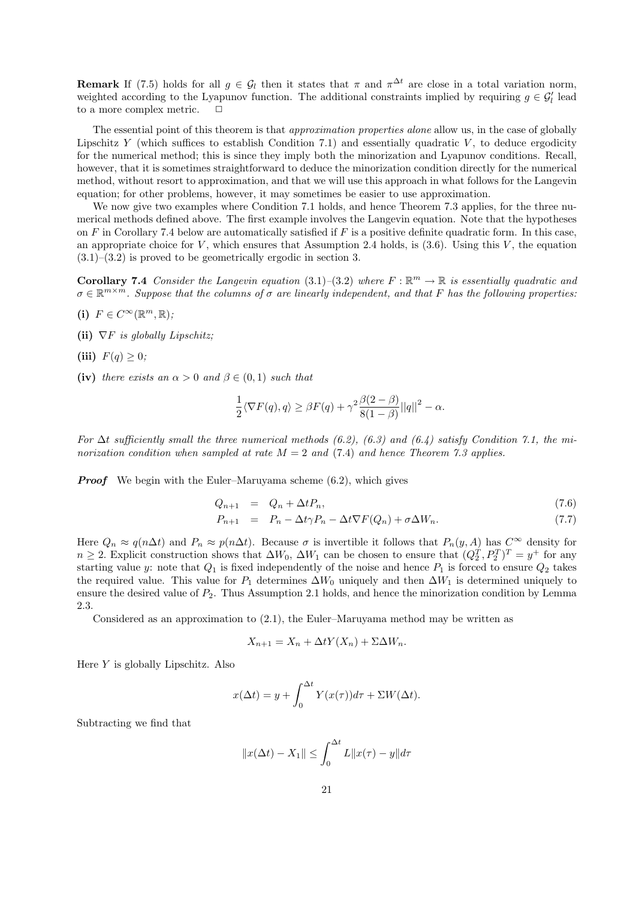**Remark** If (7.5) holds for all  $g \in \mathcal{G}_l$  then it states that  $\pi$  and  $\pi^{\Delta t}$  are close in a total variation norm, weighted according to the Lyapunov function. The additional constraints implied by requiring  $g \in \mathcal{G}'_l$  lead to a more complex metric.  $\Box$ 

The essential point of this theorem is that *approximation properties alone* allow us, in the case of globally Lipschitz Y (which suffices to establish Condition 7.1) and essentially quadratic V, to deduce ergodicity for the numerical method; this is since they imply both the minorization and Lyapunov conditions. Recall, however, that it is sometimes straightforward to deduce the minorization condition directly for the numerical method, without resort to approximation, and that we will use this approach in what follows for the Langevin equation; for other problems, however, it may sometimes be easier to use approximation.

We now give two examples where Condition 7.1 holds, and hence Theorem 7.3 applies, for the three numerical methods defined above. The first example involves the Langevin equation. Note that the hypotheses on  $F$  in Corollary 7.4 below are automatically satisfied if  $F$  is a positive definite quadratic form. In this case, an appropriate choice for V, which ensures that Assumption 2.4 holds, is  $(3.6)$ . Using this V, the equation  $(3.1)$ – $(3.2)$  is proved to be geometrically ergodic in section 3.

**Corollary 7.4** Consider the Langevin equation  $(3.1)$ – $(3.2)$  where  $F : \mathbb{R}^m \to \mathbb{R}$  is essentially quadratic and  $\sigma \in \mathbb{R}^{m \times m}$ . Suppose that the columns of  $\sigma$  are linearly independent, and that F has the following properties.

- (i)  $F \in C^{\infty}(\mathbb{R}^m, \mathbb{R})$ ;
- (ii)  $\nabla F$  is globally Lipschitz:
- (iii)  $F(q) \geq 0$ ;
- (iv) there exists an  $\alpha > 0$  and  $\beta \in (0,1)$  such that

$$
\frac{1}{2}\langle \nabla F(q), q \rangle \ge \beta F(q) + \gamma^2 \frac{\beta(2-\beta)}{8(1-\beta)}||q||^2 - \alpha.
$$

For  $\Delta t$  sufficiently small the three numerical methods (6.2), (6.3) and (6.4) satisfy Condition 7.1, the minorization condition when sampled at rate  $M = 2$  and (7.4) and hence Theorem 7.3 applies.

**Proof** We begin with the Euler–Maruyama scheme  $(6.2)$ , which gives

$$
Q_{n+1} = Q_n + \Delta t P_n, \tag{7.6}
$$

$$
P_{n+1} = P_n - \Delta t \gamma P_n - \Delta t \nabla F(Q_n) + \sigma \Delta W_n. \tag{7.7}
$$

Here  $Q_n \approx q(n\Delta t)$  and  $P_n \approx p(n\Delta t)$ . Because  $\sigma$  is invertible it follows that  $P_n(y, A)$  has  $C^{\infty}$  density for  $n \geq 2$ . Explicit construction shows that  $\Delta W_0$ ,  $\Delta W_1$  can be chosen to ensure that  $(Q_2^T, P_2^T)^T = y^+$  for any starting value y: note that  $Q_1$  is fixed independently of the noise and hence  $P_1$  is forced to ensure  $Q_2$  takes the required value. This value for  $P_1$  determines  $\Delta W_0$  uniquely and then  $\Delta W_1$  is determined uniquely to ensure the desired value of  $P_2$ . Thus Assumption 2.1 holds, and hence the minorization condition by Lemma 2.3.

Considered as an approximation to (2.1), the Euler–Maruyama method may be written as

$$
X_{n+1} = X_n + \Delta t Y(X_n) + \Sigma \Delta W_n.
$$

Here  $Y$  is globally Lipschitz. Also

$$
x(\Delta t) = y + \int_0^{\Delta t} Y(x(\tau))d\tau + \Sigma W(\Delta t).
$$

Subtracting we find that

$$
||x(\Delta t) - X_1|| \le \int_0^{\Delta t} L ||x(\tau) - y|| d\tau
$$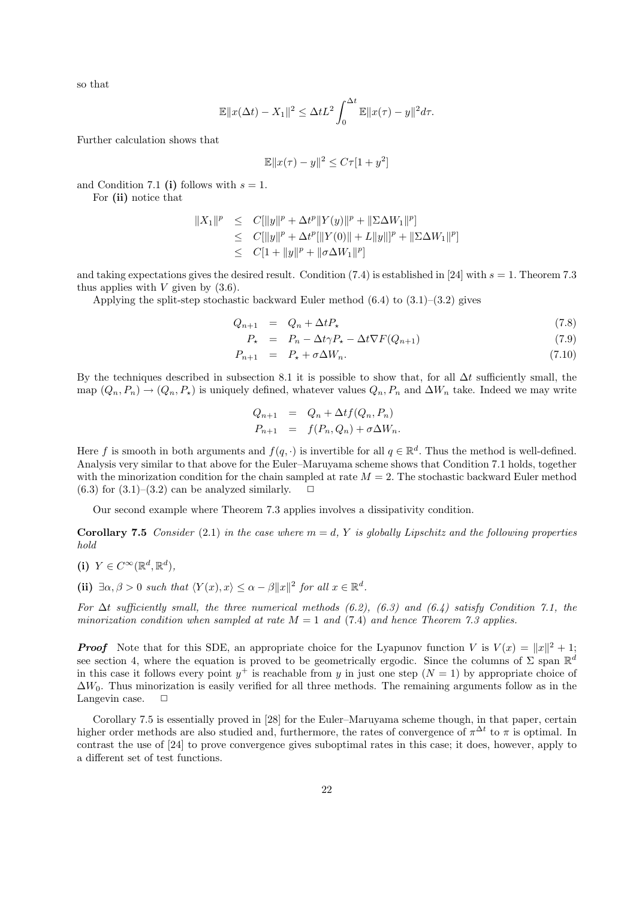so that

$$
\mathbb{E}||x(\Delta t) - X_1||^2 \le \Delta t L^2 \int_0^{\Delta t} \mathbb{E}||x(\tau) - y||^2 d\tau.
$$

Further calculation shows that

$$
\mathbb{E} \|x(\tau) - y\|^2 \le C\tau [1 + y^2]
$$

and Condition 7.1 (i) follows with  $s = 1$ .

For (ii) notice that

$$
||X_1||^p \leq C[||y||^p + \Delta t^p ||Y(y)||^p + ||\Sigma \Delta W_1||^p]
$$
  
\n
$$
\leq C[||y||^p + \Delta t^p ||Y(0)|| + L||y||^p + ||\Sigma \Delta W_1||^p]
$$
  
\n
$$
\leq C[1 + ||y||^p + ||\sigma \Delta W_1||^p]
$$

and taking expectations gives the desired result. Condition (7.4) is established in [24] with  $s = 1$ . Theorem 7.3 thus applies with  $V$  given by  $(3.6)$ .

Applying the split-step stochastic backward Euler method  $(6.4)$  to  $(3.1)$ – $(3.2)$  gives

$$
Q_{n+1} = Q_n + \Delta t P_{\star} \tag{7.8}
$$

$$
P_{\star} = P_n - \Delta t \gamma P_{\star} - \Delta t \nabla F(Q_{n+1}) \tag{7.9}
$$

$$
P_{n+1} = P_{\star} + \sigma \Delta W_n. \tag{7.10}
$$

By the techniques described in subsection 8.1 it is possible to show that, for all  $\Delta t$  sufficiently small, the map  $(Q_n, P_n) \to (Q_n, P_*)$  is uniquely defined, whatever values  $Q_n, P_n$  and  $\Delta W_n$  take. Indeed we may write

$$
Q_{n+1} = Q_n + \Delta t f(Q_n, P_n)
$$
  

$$
P_{n+1} = f(P_n, Q_n) + \sigma \Delta W_n.
$$

Here f is smooth in both arguments and  $f(q, \cdot)$  is invertible for all  $q \in \mathbb{R}^d$ . Thus the method is well-defined. Analysis very similar to that above for the Euler–Maruyama scheme shows that Condition 7.1 holds, together with the minorization condition for the chain sampled at rate  $M = 2$ . The stochastic backward Euler method  $(6.3)$  for  $(3.1)$ – $(3.2)$  can be analyzed similarly.  $\Box$ 

Our second example where Theorem 7.3 applies involves a dissipativity condition.

**Corollary 7.5** Consider (2.1) in the case where  $m = d$ , Y is globally Lipschitz and the following properties hold

(i)  $Y \in C^{\infty}(\mathbb{R}^d, \mathbb{R}^d)$ ,

(ii)  $\exists \alpha, \beta > 0$  such that  $\langle Y(x), x \rangle \leq \alpha - \beta ||x||^2$  for all  $x \in \mathbb{R}^d$ .

For  $\Delta t$  sufficiently small, the three numerical methods (6.2), (6.3) and (6.4) satisfy Condition 7.1, the minorization condition when sampled at rate  $M = 1$  and (7.4) and hence Theorem 7.3 applies.

**Proof** Note that for this SDE, an appropriate choice for the Lyapunov function V is  $V(x) = ||x||^2 + 1$ ; see section 4, where the equation is proved to be geometrically ergodic. Since the columns of  $\Sigma$  span  $\mathbb{R}^d$ in this case it follows every point  $y^+$  is reachable from y in just one step  $(N = 1)$  by appropriate choice of  $\Delta W_0$ . Thus minorization is easily verified for all three methods. The remaining arguments follow as in the Langevin case.  $\Box$ 

Corollary 7.5 is essentially proved in [28] for the Euler–Maruyama scheme though, in that paper, certain higher order methods are also studied and, furthermore, the rates of convergence of  $\pi^{\Delta t}$  to  $\pi$  is optimal. In contrast the use of [24] to prove convergence gives suboptimal rates in this case; it does, however, apply to a different set of test functions.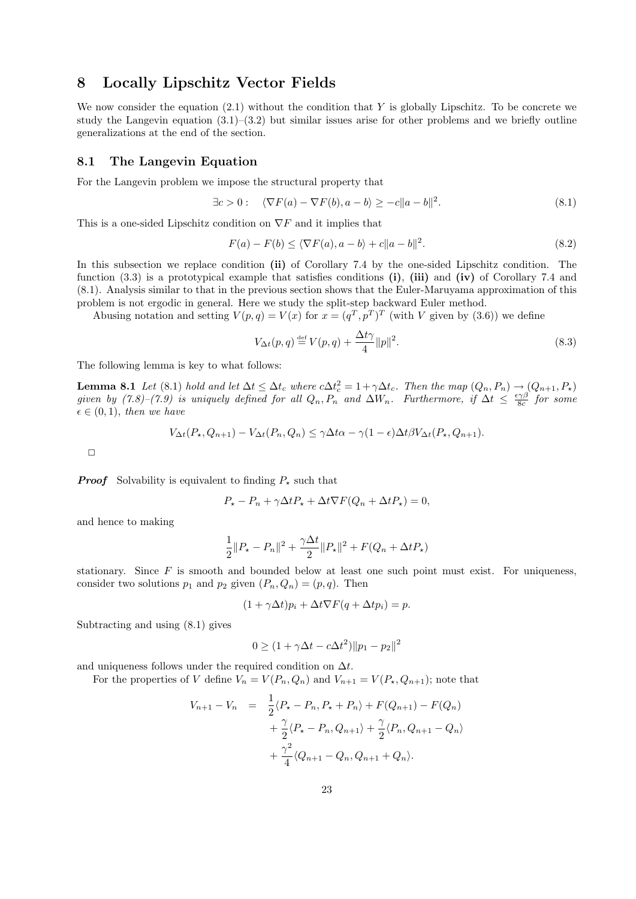# 8 Locally Lipschitz Vector Fields

We now consider the equation  $(2.1)$  without the condition that Y is globally Lipschitz. To be concrete we study the Langevin equation  $(3.1)$ – $(3.2)$  but similar issues arise for other problems and we briefly outline generalizations at the end of the section.

#### 8.1 The Langevin Equation

For the Langevin problem we impose the structural property that

$$
\exists c > 0: \quad \langle \nabla F(a) - \nabla F(b), a - b \rangle \ge -c \|a - b\|^2. \tag{8.1}
$$

This is a one-sided Lipschitz condition on  $\nabla F$  and it implies that

$$
F(a) - F(b) \le \langle \nabla F(a), a - b \rangle + c \|a - b\|^2. \tag{8.2}
$$

In this subsection we replace condition (ii) of Corollary 7.4 by the one-sided Lipschitz condition. The function  $(3.3)$  is a prototypical example that satisfies conditions (i), (iii) and (iv) of Corollary 7.4 and (8.1). Analysis similar to that in the previous section shows that the Euler-Maruyama approximation of this problem is not ergodic in general. Here we study the split-step backward Euler method.

Abusing notation and setting  $V(p,q) = V(x)$  for  $x = (q^T, p^T)^T$  (with V given by (3.6)) we define

$$
V_{\Delta t}(p,q) \stackrel{\text{def}}{=} V(p,q) + \frac{\Delta t \gamma}{4} ||p||^2. \tag{8.3}
$$

The following lemma is key to what follows:

**Lemma 8.1** Let (8.1) hold and let  $\Delta t \leq \Delta t_c$  where  $c\Delta t_c^2 = 1 + \gamma \Delta t_c$ . Then the map  $(Q_n, P_n) \rightarrow (Q_{n+1}, P_{\star})$ given by  $(7.8)-(7.9)$  is uniquely defined for all  $Q_n, P_n$  and  $\Delta W_n$ . Furthermore, if  $\Delta t \leq \frac{\epsilon \gamma \beta}{8c}$  for some  $\epsilon \in (0,1)$ , then we have

$$
V_{\Delta t}(P_{\star}, Q_{n+1}) - V_{\Delta t}(P_n, Q_n) \leq \gamma \Delta t \alpha - \gamma (1 - \epsilon) \Delta t \beta V_{\Delta t}(P_{\star}, Q_{n+1}).
$$

 $\Box$ 

**Proof** Solvability is equivalent to finding  $P_{\star}$  such that

$$
P_{\star} - P_n + \gamma \Delta t P_{\star} + \Delta t \nabla F (Q_n + \Delta t P_{\star}) = 0,
$$

and hence to making

$$
\frac{1}{2}||P_{\star} - P_{n}||^{2} + \frac{\gamma \Delta t}{2}||P_{\star}||^{2} + F(Q_{n} + \Delta t P_{\star})
$$

stationary. Since  $F$  is smooth and bounded below at least one such point must exist. For uniqueness, consider two solutions  $p_1$  and  $p_2$  given  $(P_n, Q_n) = (p, q)$ . Then

$$
(1 + \gamma \Delta t)p_i + \Delta t \nabla F(q + \Delta t p_i) = p.
$$

Subtracting and using (8.1) gives

$$
0 \ge (1 + \gamma \Delta t - c \Delta t^2) \|p_1 - p_2\|^2
$$

and uniqueness follows under the required condition on  $\Delta t$ .

For the properties of V define  $V_n = V(P_n, Q_n)$  and  $V_{n+1} = V(P_\star, Q_{n+1})$ ; note that

$$
V_{n+1} - V_n = \frac{1}{2} \langle P_{\star} - P_n, P_{\star} + P_n \rangle + F(Q_{n+1}) - F(Q_n)
$$
  
+  $\frac{\gamma}{2} \langle P_{\star} - P_n, Q_{n+1} \rangle + \frac{\gamma}{2} \langle P_n, Q_{n+1} - Q_n \rangle$   
+  $\frac{\gamma^2}{4} \langle Q_{n+1} - Q_n, Q_{n+1} + Q_n \rangle$ .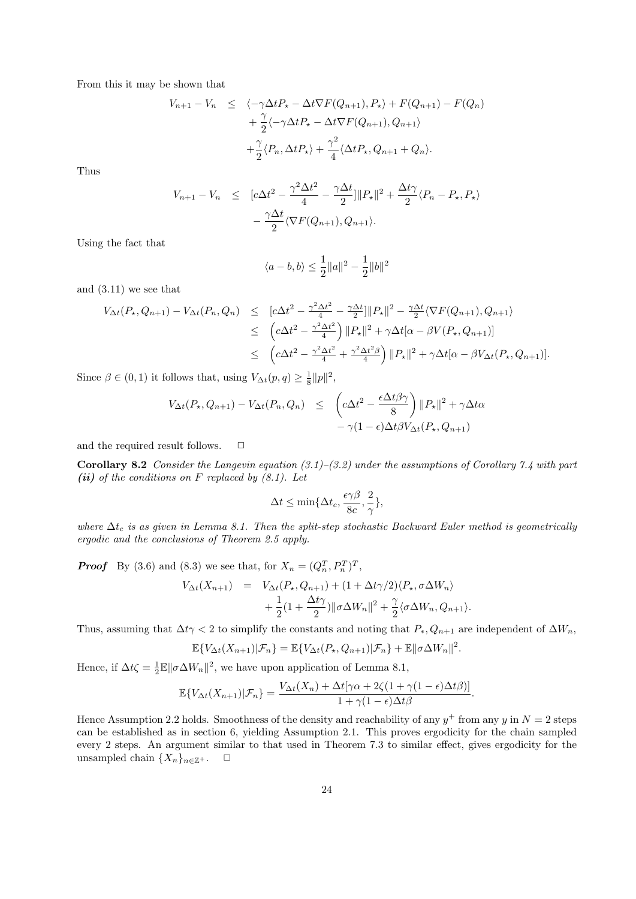From this it may be shown that

$$
V_{n+1} - V_n \leq \langle -\gamma \Delta t P_{\star} - \Delta t \nabla F(Q_{n+1}), P_{\star} \rangle + F(Q_{n+1}) - F(Q_n) + \frac{\gamma}{2} \langle -\gamma \Delta t P_{\star} - \Delta t \nabla F(Q_{n+1}), Q_{n+1} \rangle + \frac{\gamma}{2} \langle P_n, \Delta t P_{\star} \rangle + \frac{\gamma^2}{4} \langle \Delta t P_{\star}, Q_{n+1} + Q_n \rangle.
$$

Thus

$$
V_{n+1} - V_n \leq [c\Delta t^2 - \frac{\gamma^2 \Delta t^2}{4} - \frac{\gamma \Delta t}{2}] ||P_{\star}||^2 + \frac{\Delta t \gamma}{2} \langle P_n - P_{\star}, P_{\star} \rangle
$$

$$
- \frac{\gamma \Delta t}{2} \langle \nabla F(Q_{n+1}), Q_{n+1} \rangle.
$$

Using the fact that

$$
\langle a - b, b \rangle \le \frac{1}{2} ||a||^2 - \frac{1}{2} ||b||^2
$$

and (3.11) we see that

$$
V_{\Delta t}(P_{\star}, Q_{n+1}) - V_{\Delta t}(P_{n}, Q_{n}) \leq [c\Delta t^{2} - \frac{\gamma^{2}\Delta t^{2}}{4} - \frac{\gamma\Delta t}{2}]||P_{\star}||^{2} - \frac{\gamma\Delta t}{2}\langle \nabla F(Q_{n+1}), Q_{n+1}\rangle
$$
  

$$
\leq (c\Delta t^{2} - \frac{\gamma^{2}\Delta t^{2}}{4}) ||P_{\star}||^{2} + \gamma\Delta t[\alpha - \beta V(P_{\star}, Q_{n+1})]
$$
  

$$
\leq (c\Delta t^{2} - \frac{\gamma^{2}\Delta t^{2}}{4} + \frac{\gamma^{2}\Delta t^{2}\beta}{4}) ||P_{\star}||^{2} + \gamma\Delta t[\alpha - \beta V_{\Delta t}(P_{\star}, Q_{n+1})].
$$

Since  $\beta \in (0, 1)$  it follows that, using  $V_{\Delta t}(p, q) \geq \frac{1}{8} ||p||^2$ ,

$$
V_{\Delta t}(P_{\star}, Q_{n+1}) - V_{\Delta t}(P_n, Q_n) \leq \left( c\Delta t^2 - \frac{\epsilon \Delta t \beta \gamma}{8} \right) ||P_{\star}||^2 + \gamma \Delta t \alpha - \gamma (1 - \epsilon) \Delta t \beta V_{\Delta t}(P_{\star}, Q_{n+1})
$$

and the required result follows.  $\Box$ 

Corollary 8.2 Consider the Langevin equation  $(3.1)$ – $(3.2)$  under the assumptions of Corollary 7.4 with part (ii) of the conditions on F replaced by  $(8.1)$ . Let

$$
\Delta t \le \min\{\Delta t_c, \frac{\epsilon \gamma \beta}{8c}, \frac{2}{\gamma}\},\
$$

where  $\Delta t_c$  is as given in Lemma 8.1. Then the split-step stochastic Backward Euler method is geometrically ergodic and the conclusions of Theorem 2.5 apply.

**Proof** By (3.6) and (8.3) we see that, for  $X_n = (Q_n^T, P_n^T)^T$ ,

$$
V_{\Delta t}(X_{n+1}) = V_{\Delta t}(P_{\star}, Q_{n+1}) + (1 + \Delta t \gamma/2) \langle P_{\star}, \sigma \Delta W_n \rangle
$$
  
+ 
$$
\frac{1}{2} (1 + \frac{\Delta t \gamma}{2}) ||\sigma \Delta W_n||^2 + \frac{\gamma}{2} \langle \sigma \Delta W_n, Q_{n+1} \rangle.
$$

Thus, assuming that  $\Delta t \gamma < 2$  to simplify the constants and noting that  $P_*, Q_{n+1}$  are independent of  $\Delta W_n$ ,

$$
\mathbb{E}\{V_{\Delta t}(X_{n+1})|\mathcal{F}_n\}=\mathbb{E}\{V_{\Delta t}(P_{\star}, Q_{n+1})|\mathcal{F}_n\}+\mathbb{E}\|\sigma\Delta W_n\|^2.
$$

Hence, if  $\Delta t \zeta = \frac{1}{2} \mathbb{E} ||\sigma \Delta W_n||^2$ , we have upon application of Lemma 8.1,

$$
\mathbb{E}\{V_{\Delta t}(X_{n+1})|\mathcal{F}_n\} = \frac{V_{\Delta t}(X_n) + \Delta t[\gamma\alpha + 2\zeta(1+\gamma(1-\epsilon)\Delta t\beta)]}{1+\gamma(1-\epsilon)\Delta t\beta}.
$$

Hence Assumption 2.2 holds. Smoothness of the density and reachability of any  $y^+$  from any y in  $N = 2$  steps can be established as in section 6, yielding Assumption 2.1. This proves ergodicity for the chain sampled every 2 steps. An argument similar to that used in Theorem 7.3 to similar effect, gives ergodicity for the unsampled chain  $\{X_n\}_{n\in\mathbb{Z}^+}$ .  $\Box$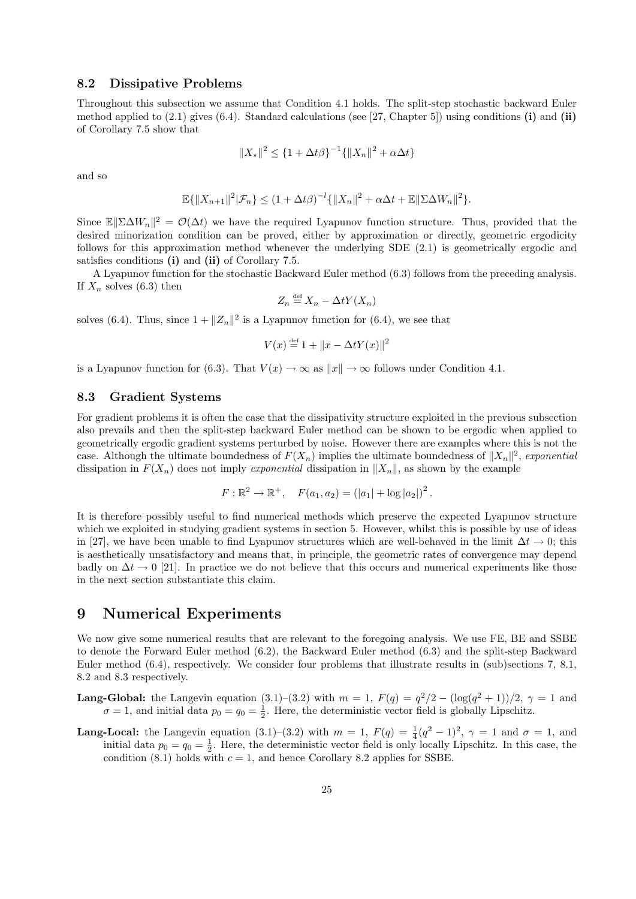### 8.2 Dissipative Problems

Throughout this subsection we assume that Condition 4.1 holds. The split-step stochastic backward Euler method applied to  $(2.1)$  gives  $(6.4)$ . Standard calculations (see [27, Chapter 5]) using conditions (i) and (ii) of Corollary 7.5 show that

$$
||X_{\star}||^{2} \leq \{1 + \Delta t \beta\}^{-1} \{||X_{n}||^{2} + \alpha \Delta t\}
$$

and so

$$
\mathbb{E}\{\|X_{n+1}\|^2|\mathcal{F}_n\} \le (1 + \Delta t \beta)^{-l}\{\|X_n\|^2 + \alpha \Delta t + \mathbb{E}\|\Sigma \Delta W_n\|^2\}.
$$

Since  $\mathbb{E} \|\Sigma \Delta W_n\|^2 = \mathcal{O}(\Delta t)$  we have the required Lyapunov function structure. Thus, provided that the desired minorization condition can be proved, either by approximation or directly, geometric ergodicity follows for this approximation method whenever the underlying SDE (2.1) is geometrically ergodic and satisfies conditions (i) and (ii) of Corollary 7.5.

A Lyapunov function for the stochastic Backward Euler method (6.3) follows from the preceding analysis. If  $X_n$  solves (6.3) then

$$
Z_n \stackrel{\text{def}}{=} X_n - \Delta t Y(X_n)
$$

solves (6.4). Thus, since  $1 + ||Z_n||^2$  is a Lyapunov function for (6.4), we see that

$$
V(x) \stackrel{\text{def}}{=} 1 + ||x - \Delta t Y(x)||^2
$$

is a Lyapunov function for (6.3). That  $V(x) \to \infty$  as  $||x|| \to \infty$  follows under Condition 4.1.

### 8.3 Gradient Systems

For gradient problems it is often the case that the dissipativity structure exploited in the previous subsection also prevails and then the split-step backward Euler method can be shown to be ergodic when applied to geometrically ergodic gradient systems perturbed by noise. However there are examples where this is not the case. Although the ultimate boundedness of  $F(X_n)$  implies the ultimate boundedness of  $||X_n||^2$ , exponential dissipation in  $F(X_n)$  does not imply exponential dissipation in  $||X_n||$ , as shown by the example

$$
F: \mathbb{R}^2 \to \mathbb{R}^+, \quad F(a_1, a_2) = (|a_1| + \log |a_2|)^2.
$$

It is therefore possibly useful to find numerical methods which preserve the expected Lyapunov structure which we exploited in studying gradient systems in section 5. However, whilst this is possible by use of ideas in [27], we have been unable to find Lyapunov structures which are well-behaved in the limit  $\Delta t \to 0$ ; this is aesthetically unsatisfactory and means that, in principle, the geometric rates of convergence may depend badly on  $\Delta t \to 0$  [21]. In practice we do not believe that this occurs and numerical experiments like those in the next section substantiate this claim.

### 9 Numerical Experiments

We now give some numerical results that are relevant to the foregoing analysis. We use FE, BE and SSBE to denote the Forward Euler method (6.2), the Backward Euler method (6.3) and the split-step Backward Euler method (6.4), respectively. We consider four problems that illustrate results in (sub)sections 7, 8.1, 8.2 and 8.3 respectively.

- **Lang-Global:** the Langevin equation (3.1)–(3.2) with  $m = 1$ ,  $F(q) = q^2/2 (\log(q^2 + 1))/2$ ,  $\gamma = 1$  and  $\sigma = 1$ , and initial data  $p_0 = q_0 = \frac{1}{2}$ . Here, the deterministic vector field is globally Lipschitz.
- **Lang-Local:** the Langevin equation (3.1)–(3.2) with  $m = 1$ ,  $F(q) = \frac{1}{4}(q^2 1)^2$ ,  $\gamma = 1$  and  $\sigma = 1$ , and initial data  $p_0 = q_0 = \frac{1}{2}$ . Here, the deterministic vector field is only locally Lipschitz. In this case, the condition (8.1) holds with  $c = 1$ , and hence Corollary 8.2 applies for SSBE.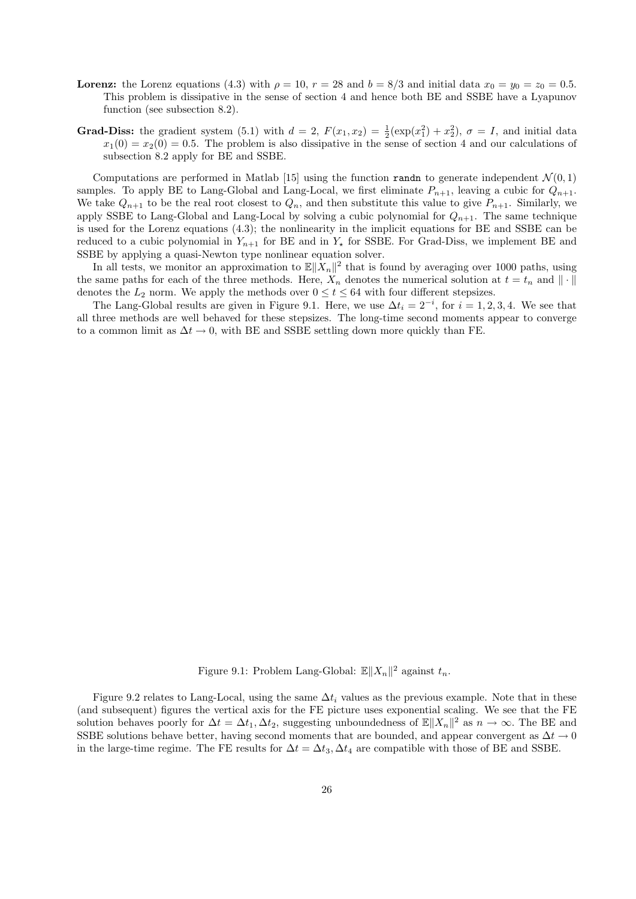- **Lorenz:** the Lorenz equations (4.3) with  $\rho = 10$ ,  $r = 28$  and  $b = 8/3$  and initial data  $x_0 = y_0 = z_0 = 0.5$ . This problem is dissipative in the sense of section 4 and hence both BE and SSBE have a Lyapunov function (see subsection 8.2).
- Grad-Diss: the gradient system (5.1) with  $d = 2$ ,  $F(x_1, x_2) = \frac{1}{2}(\exp(x_1^2) + x_2^2)$ ,  $\sigma = I$ , and initial data  $x_1(0) = x_2(0) = 0.5$ . The problem is also dissipative in the sense of section 4 and our calculations of subsection 8.2 apply for BE and SSBE.

Computations are performed in Matlab [15] using the function randn to generate independent  $\mathcal{N}(0,1)$ samples. To apply BE to Lang-Global and Lang-Local, we first eliminate  $P_{n+1}$ , leaving a cubic for  $Q_{n+1}$ . We take  $Q_{n+1}$  to be the real root closest to  $Q_n$ , and then substitute this value to give  $P_{n+1}$ . Similarly, we apply SSBE to Lang-Global and Lang-Local by solving a cubic polynomial for  $Q_{n+1}$ . The same technique is used for the Lorenz equations (4.3); the nonlinearity in the implicit equations for BE and SSBE can be reduced to a cubic polynomial in  $Y_{n+1}$  for BE and in  $Y_{n}$  for SSBE. For Grad-Diss, we implement BE and SSBE by applying a quasi-Newton type nonlinear equation solver.

In all tests, we monitor an approximation to  $\mathbb{E}||X_n||^2$  that is found by averaging over 1000 paths, using the same paths for each of the three methods. Here,  $X_n$  denotes the numerical solution at  $t = t_n$  and  $\|\cdot\|$ denotes the  $L_2$  norm. We apply the methods over  $0 \leq t \leq 64$  with four different stepsizes.

The Lang-Global results are given in Figure 9.1. Here, we use  $\Delta t_i = 2^{-i}$ , for  $i = 1, 2, 3, 4$ . We see that all three methods are well behaved for these stepsizes. The long-time second moments appear to converge to a common limit as  $\Delta t \to 0$ , with BE and SSBE settling down more quickly than FE.

Figure 9.1: Problem Lang-Global:  $\mathbb{E} ||X_n||^2$  against  $t_n$ .

Figure 9.2 relates to Lang-Local, using the same  $\Delta t_i$  values as the previous example. Note that in these (and subsequent) figures the vertical axis for the FE picture uses exponential scaling. We see that the FE solution behaves poorly for  $\Delta t = \Delta t_1, \Delta t_2$ , suggesting unboundedness of  $\mathbb{E} ||X_n||^2$  as  $n \to \infty$ . The BE and SSBE solutions behave better, having second moments that are bounded, and appear convergent as  $\Delta t \rightarrow 0$ in the large-time regime. The FE results for  $\Delta t = \Delta t_3$ ,  $\Delta t_4$  are compatible with those of BE and SSBE.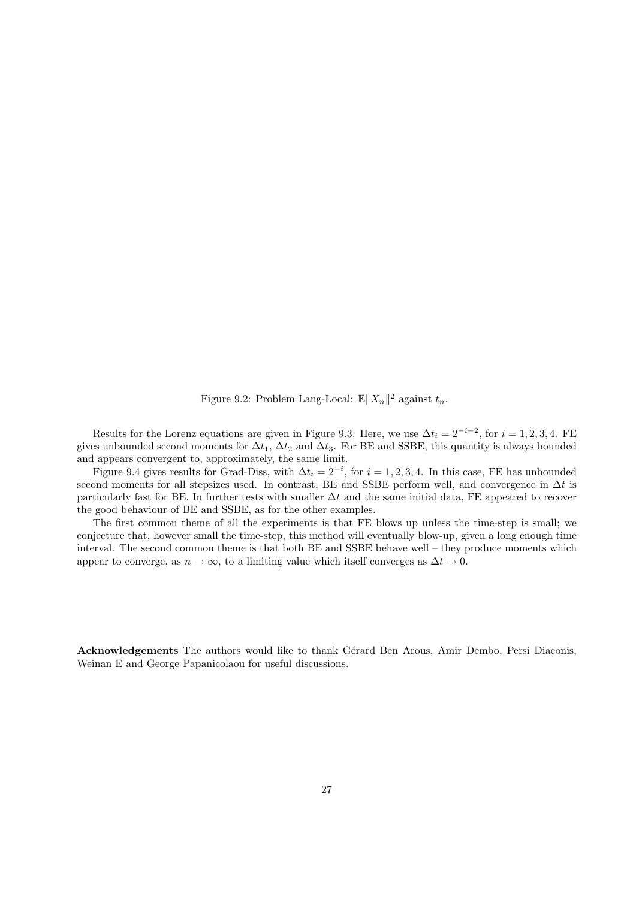Figure 9.2: Problem Lang-Local:  $\mathbb{E} \|X_n\|^2$  against  $t_n$ .

Results for the Lorenz equations are given in Figure 9.3. Here, we use  $\Delta t_i = 2^{-i-2}$ , for  $i = 1, 2, 3, 4$ . FE gives unbounded second moments for  $\Delta t_1$ ,  $\Delta t_2$  and  $\Delta t_3$ . For BE and SSBE, this quantity is always bounded and appears convergent to, approximately, the same limit.

Figure 9.4 gives results for Grad-Diss, with  $\Delta t_i = 2^{-i}$ , for  $i = 1, 2, 3, 4$ . In this case, FE has unbounded second moments for all stepsizes used. In contrast, BE and SSBE perform well, and convergence in  $\Delta t$  is particularly fast for BE. In further tests with smaller  $\Delta t$  and the same initial data, FE appeared to recover the good behaviour of BE and SSBE, as for the other examples.

The first common theme of all the experiments is that FE blows up unless the time-step is small; we conjecture that, however small the time-step, this method will eventually blow-up, given a long enough time interval. The second common theme is that both BE and SSBE behave well – they produce moments which appear to converge, as  $n \to \infty$ , to a limiting value which itself converges as  $\Delta t \to 0$ .

Acknowledgements The authors would like to thank Gérard Ben Arous, Amir Dembo, Persi Diaconis, Weinan E and George Papanicolaou for useful discussions.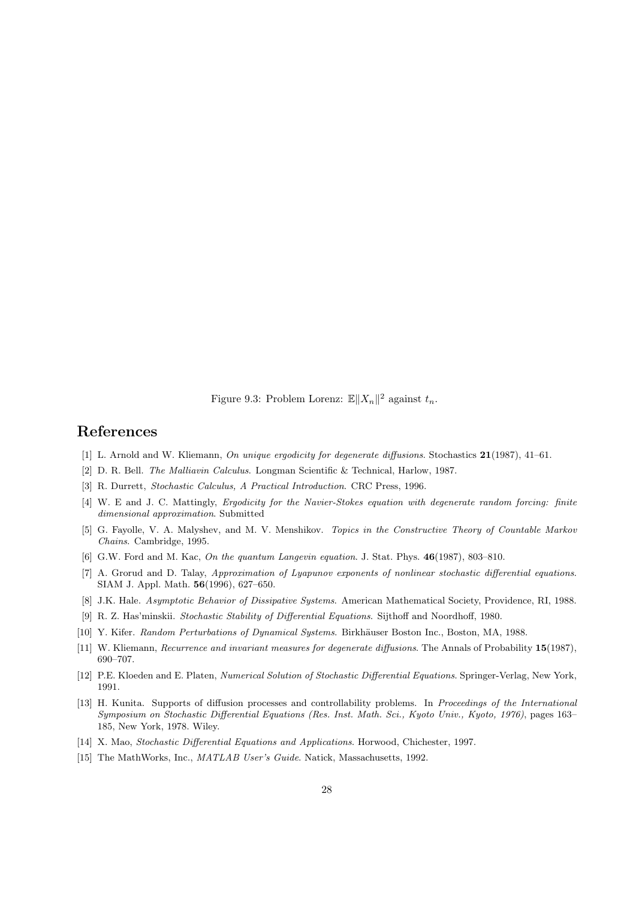Figure 9.3: Problem Lorenz:  $\mathbb{E} \|X_n\|^2$  against  $t_n$ .

### References

- [1] L. Arnold and W. Kliemann, On unique ergodicity for degenerate diffusions. Stochastics 21(1987), 41–61.
- [2] D. R. Bell. The Malliavin Calculus. Longman Scientific & Technical, Harlow, 1987.
- [3] R. Durrett, Stochastic Calculus, A Practical Introduction. CRC Press, 1996.
- [4] W. E and J. C. Mattingly, Ergodicity for the Navier-Stokes equation with degenerate random forcing: finite dimensional approximation. Submitted
- [5] G. Fayolle, V. A. Malyshev, and M. V. Menshikov. Topics in the Constructive Theory of Countable Markov Chains. Cambridge, 1995.
- [6] G.W. Ford and M. Kac, On the quantum Langevin equation. J. Stat. Phys. 46(1987), 803–810.
- [7] A. Grorud and D. Talay, Approximation of Lyapunov exponents of nonlinear stochastic differential equations. SIAM J. Appl. Math. 56(1996), 627–650.
- [8] J.K. Hale. Asymptotic Behavior of Dissipative Systems. American Mathematical Society, Providence, RI, 1988.
- [9] R. Z. Has'minskii. Stochastic Stability of Differential Equations. Sijthoff and Noordhoff, 1980.
- [10] Y. Kifer. Random Perturbations of Dynamical Systems. Birkhäuser Boston Inc., Boston, MA, 1988.
- [11] W. Kliemann, Recurrence and invariant measures for degenerate diffusions. The Annals of Probability 15(1987), 690–707.
- [12] P.E. Kloeden and E. Platen, Numerical Solution of Stochastic Differential Equations. Springer-Verlag, New York, 1991.
- [13] H. Kunita. Supports of diffusion processes and controllability problems. In Proceedings of the International Symposium on Stochastic Differential Equations (Res. Inst. Math. Sci., Kyoto Univ., Kyoto, 1976), pages 163– 185, New York, 1978. Wiley.
- [14] X. Mao, Stochastic Differential Equations and Applications. Horwood, Chichester, 1997.
- [15] The MathWorks, Inc., *MATLAB User's Guide*. Natick, Massachusetts, 1992.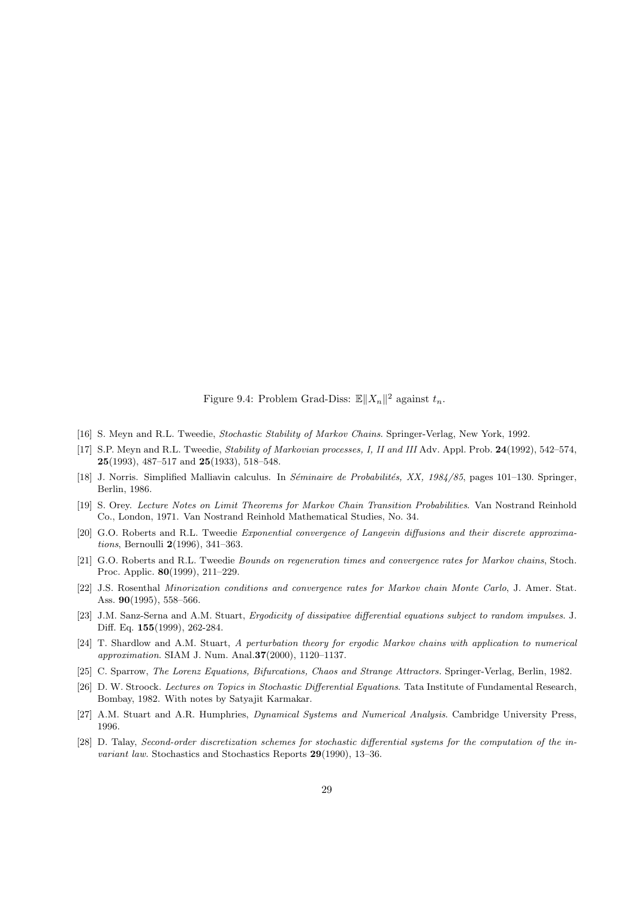Figure 9.4: Problem Grad-Diss:  $\mathbb{E} \|X_n\|^2$  against  $t_n$ .

- [16] S. Meyn and R.L. Tweedie, Stochastic Stability of Markov Chains. Springer-Verlag, New York, 1992.
- [17] S.P. Meyn and R.L. Tweedie, Stability of Markovian processes, I, II and III Adv. Appl. Prob. 24(1992), 542–574, 25(1993), 487–517 and 25(1933), 518–548.
- [18] J. Norris. Simplified Malliavin calculus. In *Séminaire de Probabilités, XX, 1984/85*, pages 101–130. Springer, Berlin, 1986.
- [19] S. Orey. Lecture Notes on Limit Theorems for Markov Chain Transition Probabilities. Van Nostrand Reinhold Co., London, 1971. Van Nostrand Reinhold Mathematical Studies, No. 34.
- [20] G.O. Roberts and R.L. Tweedie Exponential convergence of Langevin diffusions and their discrete approximations, Bernoulli 2(1996), 341–363.
- [21] G.O. Roberts and R.L. Tweedie Bounds on regeneration times and convergence rates for Markov chains, Stoch. Proc. Applic. 80(1999), 211–229.
- [22] J.S. Rosenthal Minorization conditions and convergence rates for Markov chain Monte Carlo, J. Amer. Stat. Ass. 90(1995), 558–566.
- [23] J.M. Sanz-Serna and A.M. Stuart, Ergodicity of dissipative differential equations subject to random impulses. J. Diff. Eq. 155(1999), 262-284.
- [24] T. Shardlow and A.M. Stuart, A perturbation theory for ergodic Markov chains with application to numerical approximation. SIAM J. Num. Anal.37(2000), 1120–1137.
- [25] C. Sparrow, The Lorenz Equations, Bifurcations, Chaos and Strange Attractors. Springer-Verlag, Berlin, 1982.
- [26] D. W. Stroock. Lectures on Topics in Stochastic Differential Equations. Tata Institute of Fundamental Research, Bombay, 1982. With notes by Satyajit Karmakar.
- [27] A.M. Stuart and A.R. Humphries, Dynamical Systems and Numerical Analysis. Cambridge University Press, 1996.
- [28] D. Talay, Second-order discretization schemes for stochastic differential systems for the computation of the invariant law. Stochastics and Stochastics Reports 29(1990), 13–36.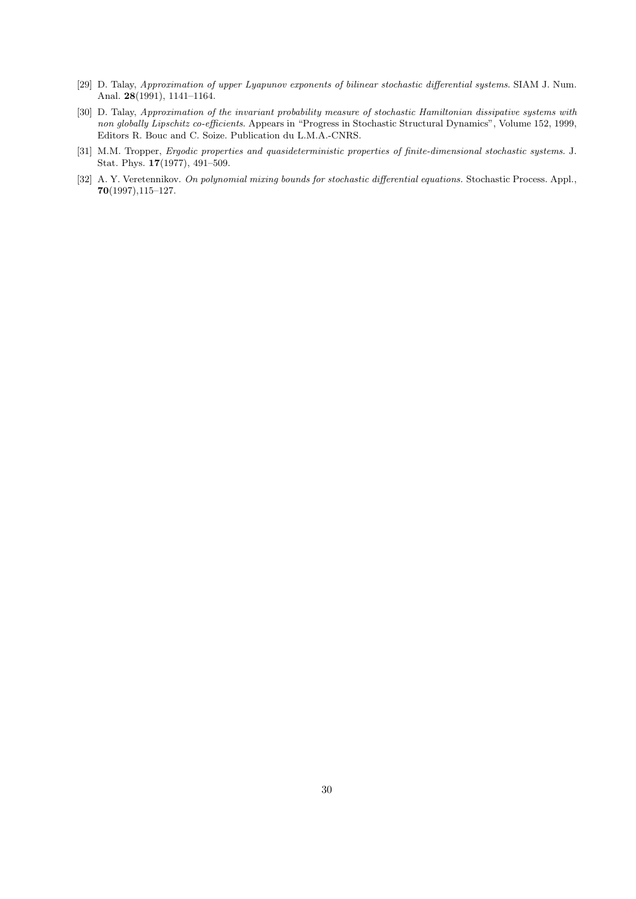- [29] D. Talay, Approximation of upper Lyapunov exponents of bilinear stochastic differential systems. SIAM J. Num. Anal. 28(1991), 1141–1164.
- [30] D. Talay, Approximation of the invariant probability measure of stochastic Hamiltonian dissipative systems with non globally Lipschitz co-efficients. Appears in "Progress in Stochastic Structural Dynamics", Volume 152, 1999, Editors R. Bouc and C. Soize. Publication du L.M.A.-CNRS.
- [31] M.M. Tropper, Ergodic properties and quasideterministic properties of finite-dimensional stochastic systems. J. Stat. Phys. 17(1977), 491–509.
- [32] A. Y. Veretennikov. On polynomial mixing bounds for stochastic differential equations. Stochastic Process. Appl., 70(1997),115–127.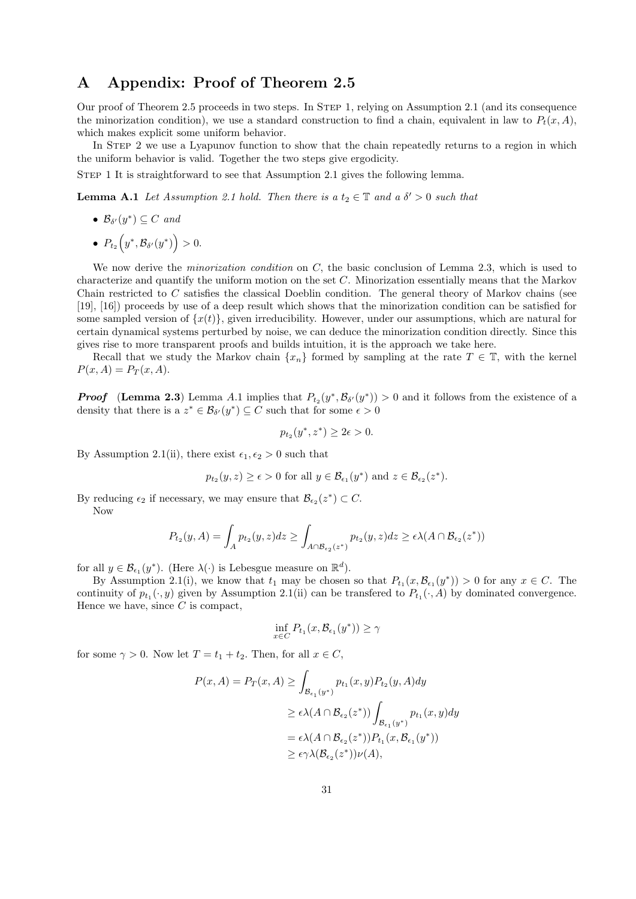# A Appendix: Proof of Theorem 2.5

Our proof of Theorem 2.5 proceeds in two steps. In STEP 1, relying on Assumption 2.1 (and its consequence the minorization condition), we use a standard construction to find a chain, equivalent in law to  $P_t(x, A)$ , which makes explicit some uniform behavior.

In STEP 2 we use a Lyapunov function to show that the chain repeatedly returns to a region in which the uniform behavior is valid. Together the two steps give ergodicity.

Step 1 It is straightforward to see that Assumption 2.1 gives the following lemma.

**Lemma A.1** Let Assumption 2.1 hold. Then there is a  $t_2 \in \mathbb{T}$  and a  $\delta' > 0$  such that

- $\mathcal{B}_{\delta'}(y^*) \subseteq C$  and
- $P_{t_2}(y^*, \mathcal{B}_{\delta'}(y^*)) > 0.$

We now derive the *minorization condition* on C, the basic conclusion of Lemma 2.3, which is used to characterize and quantify the uniform motion on the set C. Minorization essentially means that the Markov Chain restricted to C satisfies the classical Doeblin condition. The general theory of Markov chains (see [19], [16]) proceeds by use of a deep result which shows that the minorization condition can be satisfied for some sampled version of  $\{x(t)\}\,$ , given irreducibility. However, under our assumptions, which are natural for certain dynamical systems perturbed by noise, we can deduce the minorization condition directly. Since this gives rise to more transparent proofs and builds intuition, it is the approach we take here.

Recall that we study the Markov chain  $\{x_n\}$  formed by sampling at the rate  $T \in \mathbb{T}$ , with the kernel  $P(x, A) = P_T(x, A).$ 

**Proof** (Lemma 2.3) Lemma A.1 implies that  $P_{t_2}(y^*, \mathcal{B}_{\delta'}(y^*)) > 0$  and it follows from the existence of a density that there is a  $z^* \in \mathcal{B}_{\delta'}(y^*) \subseteq C$  such that for some  $\epsilon > 0$ 

$$
p_{t_2}(y^*, z^*) \ge 2\epsilon > 0.
$$

By Assumption 2.1(ii), there exist  $\epsilon_1, \epsilon_2 > 0$  such that

$$
p_{t_2}(y, z) \ge \epsilon > 0
$$
 for all  $y \in \mathcal{B}_{\epsilon_1}(y^*)$  and  $z \in \mathcal{B}_{\epsilon_2}(z^*)$ .

By reducing  $\epsilon_2$  if necessary, we may ensure that  $\mathcal{B}_{\epsilon_2}(z^*) \subset C$ . Now

$$
P_{t_2}(y, A) = \int_A p_{t_2}(y, z) dz \ge \int_{A \cap \mathcal{B}_{\epsilon_2}(z^*)} p_{t_2}(y, z) dz \ge \epsilon \lambda(A \cap \mathcal{B}_{\epsilon_2}(z^*))
$$

for all  $y \in \mathcal{B}_{\epsilon_1}(y^*)$ . (Here  $\lambda(\cdot)$  is Lebesgue measure on  $\mathbb{R}^d$ ).

By Assumption 2.1(i), we know that  $t_1$  may be chosen so that  $P_{t_1}(x, \mathcal{B}_{\epsilon_1}(y^*)) > 0$  for any  $x \in C$ . The continuity of  $p_{t_1}(\cdot, y)$  given by Assumption 2.1(ii) can be transferred to  $P_{t_1}(\cdot, A)$  by dominated convergence. Hence we have, since  $C$  is compact,

$$
\inf_{x \in C} P_{t_1}(x, \mathcal{B}_{\epsilon_1}(y^*)) \ge \gamma
$$

for some  $\gamma > 0$ . Now let  $T = t_1 + t_2$ . Then, for all  $x \in C$ ,

$$
P(x, A) = P_T(x, A) \ge \int_{\mathcal{B}_{\epsilon_1}(y^*)} p_{t_1}(x, y) P_{t_2}(y, A) dy
$$
  
\n
$$
\ge \epsilon \lambda(A \cap \mathcal{B}_{\epsilon_2}(z^*)) \int_{\mathcal{B}_{\epsilon_1}(y^*)} p_{t_1}(x, y) dy
$$
  
\n
$$
= \epsilon \lambda(A \cap \mathcal{B}_{\epsilon_2}(z^*)) P_{t_1}(x, \mathcal{B}_{\epsilon_1}(y^*))
$$
  
\n
$$
\ge \epsilon \gamma \lambda(\mathcal{B}_{\epsilon_2}(z^*)) \nu(A),
$$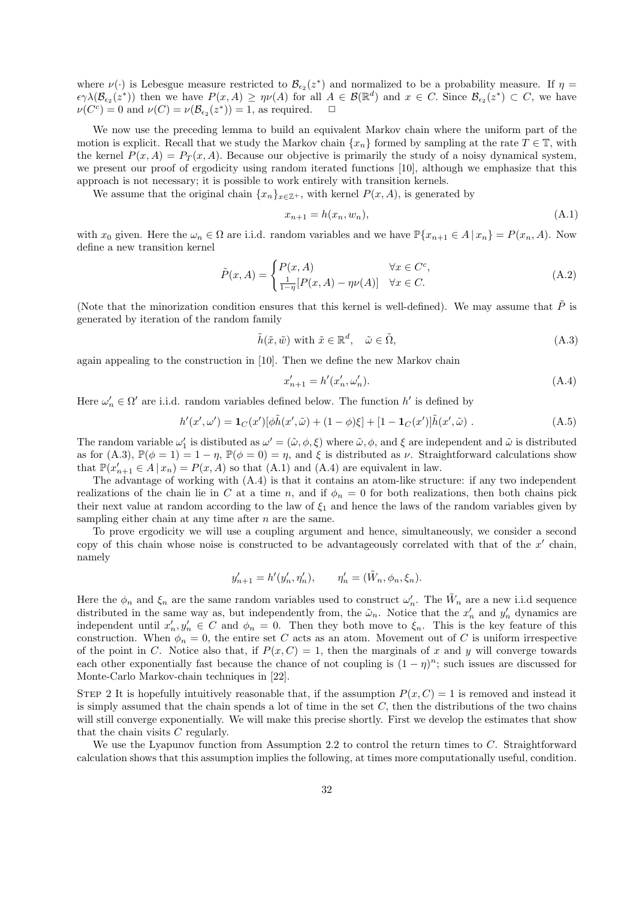where  $\nu(\cdot)$  is Lebesgue measure restricted to  $\mathcal{B}_{\epsilon_2}(z^*)$  and normalized to be a probability measure. If  $\eta =$  $\epsilon \gamma \lambda(\mathcal{B}_{\epsilon_2}(z^*))$  then we have  $P(x, A) \geq \eta \nu(A)$  for all  $A \in \mathcal{B}(\mathbb{R}^d)$  and  $x \in C$ . Since  $\mathcal{B}_{\epsilon_2}(z^*) \subset C$ , we have  $\nu(C^c) = 0$  and  $\nu(C) = \nu(\mathcal{B}_{\epsilon_2}(z^*)) = 1$ , as required.  $\Box$ 

We now use the preceding lemma to build an equivalent Markov chain where the uniform part of the motion is explicit. Recall that we study the Markov chain  $\{x_n\}$  formed by sampling at the rate  $T \in \mathbb{T}$ , with the kernel  $P(x, A) = P_T(x, A)$ . Because our objective is primarily the study of a noisy dynamical system, we present our proof of ergodicity using random iterated functions [10], although we emphasize that this approach is not necessary; it is possible to work entirely with transition kernels.

We assume that the original chain  $\{x_n\}_{x\in\mathbb{Z}^+}$ , with kernel  $P(x, A)$ , is generated by

$$
x_{n+1} = h(x_n, w_n),
$$
\n(A.1)

with  $x_0$  given. Here the  $\omega_n \in \Omega$  are i.i.d. random variables and we have  $\mathbb{P}\{x_{n+1} \in A | x_n\} = P(x_n, A)$ . Now define a new transition kernel

$$
\tilde{P}(x, A) = \begin{cases}\nP(x, A) & \forall x \in C^c, \\
\frac{1}{1 - \eta} [P(x, A) - \eta \nu(A)] & \forall x \in C.\n\end{cases}
$$
\n(A.2)

(Note that the minorization condition ensures that this kernel is well-defined). We may assume that  $P$  is generated by iteration of the random family

$$
\tilde{h}(\tilde{x}, \tilde{w}) \text{ with } \tilde{x} \in \mathbb{R}^d, \quad \tilde{\omega} \in \tilde{\Omega}, \tag{A.3}
$$

again appealing to the construction in [10]. Then we define the new Markov chain

$$
x'_{n+1} = h'(x'_n, \omega'_n). \tag{A.4}
$$

Here  $\omega'_n \in \Omega'$  are i.i.d. random variables defined below. The function  $h'$  is defined by

$$
h'(x', \omega') = \mathbf{1}_C(x')[\phi \tilde{h}(x', \tilde{\omega}) + (1 - \phi)\xi] + [1 - \mathbf{1}_C(x')] \tilde{h}(x', \tilde{\omega}) .
$$
 (A.5)

The random variable  $\omega'_1$  is distibuted as  $\omega' = (\tilde{\omega}, \phi, \xi)$  where  $\tilde{\omega}, \phi$ , and  $\xi$  are independent and  $\tilde{\omega}$  is distributed as for (A.3),  $\mathbb{P}(\phi = 1) = 1 - \eta$ ,  $\mathbb{P}(\phi = 0) = \eta$ , and  $\xi$  is distributed as  $\nu$ . Straightforward calculations show that  $\mathbb{P}(x'_{n+1} \in A | x_n) = P(x, A)$  so that  $(A.1)$  and  $(A.4)$  are equivalent in law.

The advantage of working with (A.4) is that it contains an atom-like structure: if any two independent realizations of the chain lie in C at a time n, and if  $\phi_n = 0$  for both realizations, then both chains pick their next value at random according to the law of  $\xi_1$  and hence the laws of the random variables given by sampling either chain at any time after  $n$  are the same.

To prove ergodicity we will use a coupling argument and hence, simultaneously, we consider a second copy of this chain whose noise is constructed to be advantageously correlated with that of the  $x'$  chain, namely

$$
y'_{n+1} = h'(y'_{n}, \eta'_{n}), \qquad \eta'_{n} = (\tilde{W}_{n}, \phi_{n}, \xi_{n}).
$$

Here the  $\phi_n$  and  $\xi_n$  are the same random variables used to construct  $\omega'_n$ . The  $\tilde{W}_n$  are a new i.i.d sequence distributed in the same way as, but independently from, the  $\tilde{\omega}_n$ . Notice that the  $x'_n$  and  $y'_n$  dynamics are independent until  $x'_n, y'_n \in C$  and  $\phi_n = 0$ . Then they both move to  $\xi_n$ . This is the key feature of this construction. When  $\phi_n = 0$ , the entire set C acts as an atom. Movement out of C is uniform irrespective of the point in C. Notice also that, if  $P(x, C) = 1$ , then the marginals of x and y will converge towards each other exponentially fast because the chance of not coupling is  $(1 - \eta)^n$ ; such issues are discussed for Monte-Carlo Markov-chain techniques in [22].

STEP 2 It is hopefully intuitively reasonable that, if the assumption  $P(x, C) = 1$  is removed and instead it is simply assumed that the chain spends a lot of time in the set  $C$ , then the distributions of the two chains will still converge exponentially. We will make this precise shortly. First we develop the estimates that show that the chain visits  $C$  regularly.

We use the Lyapunov function from Assumption 2.2 to control the return times to C. Straightforward calculation shows that this assumption implies the following, at times more computationally useful, condition.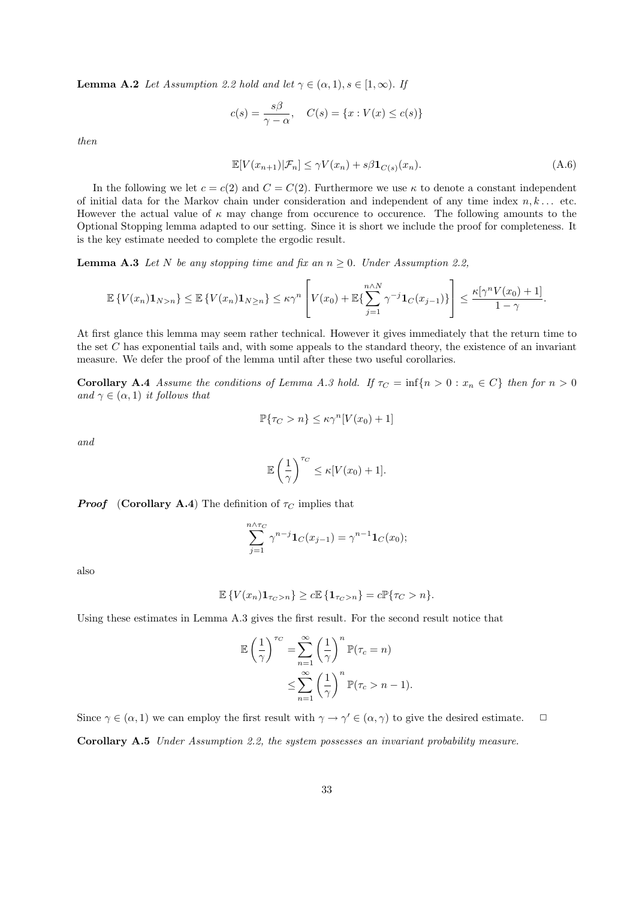**Lemma A.2** Let Assumption 2.2 hold and let  $\gamma \in (\alpha, 1), s \in [1, \infty)$ . If

$$
c(s) = \frac{s\beta}{\gamma - \alpha}, \quad C(s) = \{x : V(x) \le c(s)\}\
$$

then

$$
\mathbb{E}[V(x_{n+1})|\mathcal{F}_n] \le \gamma V(x_n) + s\beta \mathbf{1}_{C(s)}(x_n). \tag{A.6}
$$

In the following we let  $c = c(2)$  and  $C = C(2)$ . Furthermore we use  $\kappa$  to denote a constant independent of initial data for the Markov chain under consideration and independent of any time index  $n, k \dots$  etc. However the actual value of  $\kappa$  may change from occurence to occurence. The following amounts to the Optional Stopping lemma adapted to our setting. Since it is short we include the proof for completeness. It is the key estimate needed to complete the ergodic result.

**Lemma A.3** Let N be any stopping time and fix an  $n \geq 0$ . Under Assumption 2.2,

$$
\mathbb{E}\left\{V(x_n)\mathbf{1}_{N>n}\right\} \leq \mathbb{E}\left\{V(x_n)\mathbf{1}_{N\geq n}\right\} \leq \kappa\gamma^n \left[V(x_0) + \mathbb{E}\left\{\sum_{j=1}^{n\wedge N}\gamma^{-j}\mathbf{1}_C(x_{j-1})\right\}\right] \leq \frac{\kappa[\gamma^n V(x_0) + 1]}{1 - \gamma}.
$$

At first glance this lemma may seem rather technical. However it gives immediately that the return time to the set C has exponential tails and, with some appeals to the standard theory, the existence of an invariant measure. We defer the proof of the lemma until after these two useful corollaries.

Corollary A.4 Assume the conditions of Lemma A.3 hold. If  $\tau_C = \inf\{n > 0 : x_n \in C\}$  then for  $n > 0$ and  $\gamma \in (\alpha, 1)$  it follows that

$$
\mathbb{P}\{\tau_C > n\} \le \kappa \gamma^n [V(x_0) + 1]
$$

and

$$
\mathbb{E}\left(\frac{1}{\gamma}\right)^{\tau_C} \leq \kappa[V(x_0) + 1].
$$

**Proof** (Corollary A.4) The definition of  $\tau_C$  implies that

$$
\sum_{j=1}^{n \wedge \tau_C} \gamma^{n-j} \mathbf{1}_C(x_{j-1}) = \gamma^{n-1} \mathbf{1}_C(x_0);
$$

also

$$
\mathbb{E}\left\{V(x_n)\mathbf{1}_{\tau_C > n}\right\} \ge c \mathbb{E}\left\{\mathbf{1}_{\tau_C > n}\right\} = c \mathbb{P}\{\tau_C > n\}.
$$

Using these estimates in Lemma A.3 gives the first result. For the second result notice that

$$
\mathbb{E}\left(\frac{1}{\gamma}\right)^{\tau_C} = \sum_{n=1}^{\infty} \left(\frac{1}{\gamma}\right)^n \mathbb{P}(\tau_C = n)
$$
  

$$
\leq \sum_{n=1}^{\infty} \left(\frac{1}{\gamma}\right)^n \mathbb{P}(\tau_C > n - 1).
$$

Since  $\gamma \in (\alpha, 1)$  we can employ the first result with  $\gamma \to \gamma' \in (\alpha, \gamma)$  to give the desired estimate.  $\Box$ Corollary A.5 Under Assumption 2.2, the system possesses an invariant probability measure.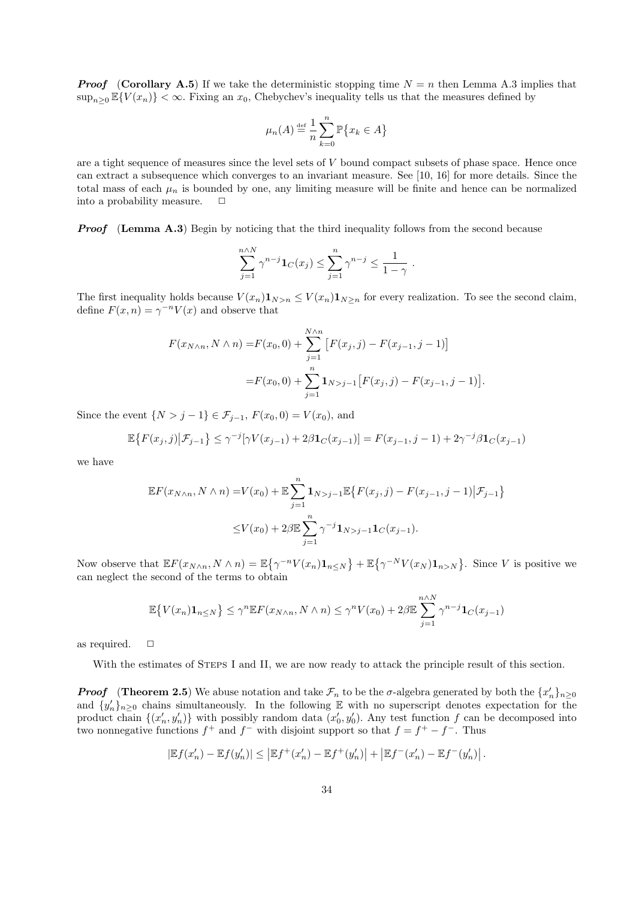**Proof** (Corollary A.5) If we take the deterministic stopping time  $N = n$  then Lemma A.3 implies that  $\sup_{n>0} \mathbb{E}\{V(x_n)\} < \infty$ . Fixing an  $x_0$ , Chebychev's inequality tells us that the measures defined by

$$
\mu_n(A) \stackrel{\text{def}}{=} \frac{1}{n} \sum_{k=0}^n \mathbb{P}\big\{x_k \in A\big\}
$$

are a tight sequence of measures since the level sets of V bound compact subsets of phase space. Hence once can extract a subsequence which converges to an invariant measure. See [10, 16] for more details. Since the total mass of each  $\mu_n$  is bounded by one, any limiting measure will be finite and hence can be normalized into a probability measure.  $\Box$ 

**Proof** (Lemma A.3) Begin by noticing that the third inequality follows from the second because

$$
\sum_{j=1}^{n \wedge N} \gamma^{n-j} \mathbf{1}_C(x_j) \le \sum_{j=1}^n \gamma^{n-j} \le \frac{1}{1-\gamma} .
$$

The first inequality holds because  $V(x_n) \mathbf{1}_{N>n} \leq V(x_n) \mathbf{1}_{N>n}$  for every realization. To see the second claim, define  $F(x, n) = \gamma^{-n} V(x)$  and observe that

$$
F(x_{N \wedge n}, N \wedge n) = F(x_0, 0) + \sum_{j=1}^{N \wedge n} \left[ F(x_j, j) - F(x_{j-1}, j-1) \right]
$$

$$
= F(x_0, 0) + \sum_{j=1}^{n} \mathbf{1}_{N > j-1} \left[ F(x_j, j) - F(x_{j-1}, j-1) \right]
$$

.

Since the event  $\{N > j - 1\} \in \mathcal{F}_{j-1}, F(x_0, 0) = V(x_0)$ , and

$$
\mathbb{E}\big\{F(x_j,j)\big|\mathcal{F}_{j-1}\big\} \le \gamma^{-j}[\gamma V(x_{j-1}) + 2\beta \mathbf{1}_C(x_{j-1})] = F(x_{j-1}, j-1) + 2\gamma^{-j}\beta \mathbf{1}_C(x_{j-1})
$$

we have

$$
\mathbb{E}F(x_{N\wedge n}, N\wedge n) = V(x_0) + \mathbb{E}\sum_{j=1}^n \mathbf{1}_{N>j-1} \mathbb{E}\big\{F(x_j, j) - F(x_{j-1}, j-1) | \mathcal{F}_{j-1}\big\}
$$
  

$$
\leq V(x_0) + 2\beta \mathbb{E}\sum_{j=1}^n \gamma^{-j} \mathbf{1}_{N>j-1} \mathbf{1}_C(x_{j-1}).
$$

Now observe that  $\mathbb{E} F(x_{N\wedge n}, N \wedge n) = \mathbb{E} \{ \gamma^{-n} V(x_n) \mathbf{1}_{n \leq N} \} + \mathbb{E} \{ \gamma^{-N} V(x_N) \mathbf{1}_{n > N} \}.$  Since V is positive we can neglect the second of the terms to obtain

$$
\mathbb{E}\left\{V(x_n)\mathbf{1}_{n\leq N}\right\} \leq \gamma^n \mathbb{E}F(x_{N\wedge n}, N\wedge n) \leq \gamma^n V(x_0) + 2\beta \mathbb{E}\sum_{j=1}^{n\wedge N} \gamma^{n-j} \mathbf{1}_C(x_{j-1})
$$

as required.  $\square$ 

With the estimates of STEPS I and II, we are now ready to attack the principle result of this section.

**Proof** (Theorem 2.5) We abuse notation and take  $\mathcal{F}_n$  to be the  $\sigma$ -algebra generated by both the  $\{x'_n\}_{n\geq 0}$ and  $\{y'_n\}_{n\geq 0}$  chains simultaneously. In the following E with no superscript denotes expectation for the product chain  $\{(x'_n, y'_n)\}\$  with possibly random data  $(x'_0, y'_0)$ . Any test function f can be decomposed into two nonnegative functions  $f^+$  and  $f^-$  with disjoint support so that  $f = f^+ - f^-$ . Thus

$$
\left|{\mathbb E} f(x'_n)-{\mathbb E} f(y'_n)\right|\leq \left|{\mathbb E} f^+(x'_n)-{\mathbb E} f^+(y'_n)\right|+\left|{\mathbb E} f^-(x'_n)-{\mathbb E} f^-(y'_n)\right|.
$$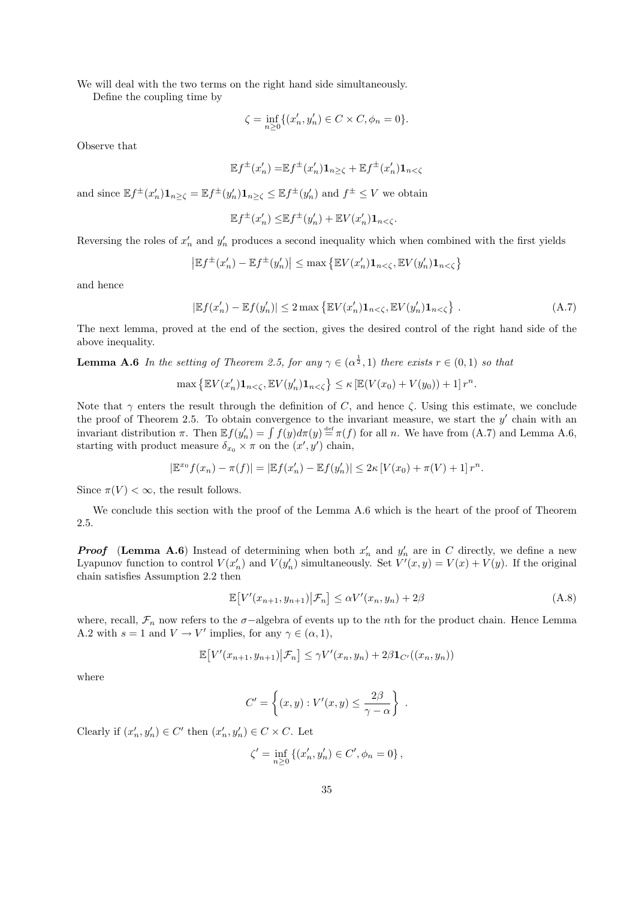We will deal with the two terms on the right hand side simultaneously.

Define the coupling time by

$$
\zeta = \inf_{n \ge 0} \{ (x'_n, y'_n) \in C \times C, \phi_n = 0 \}.
$$

Observe that

$$
\mathbb{E}f^{\pm}(x'_n) = \mathbb{E}f^{\pm}(x'_n)\mathbf{1}_{n\geq\zeta} + \mathbb{E}f^{\pm}(x'_n)\mathbf{1}_{n<\zeta}
$$

and since  $\mathbb{E} f^{\pm}(x'_n) \mathbf{1}_{n \ge \zeta} = \mathbb{E} f^{\pm}(y'_n) \mathbf{1}_{n \ge \zeta} \le \mathbb{E} f^{\pm}(y'_n)$  and  $f^{\pm} \le V$  we obtain

$$
\mathbb{E}f^{\pm}(x'_n) \leq \mathbb{E}f^{\pm}(y'_n) + \mathbb{E}V(x'_n) \mathbf{1}_{n < \zeta}.
$$

Reversing the roles of  $x'_n$  and  $y'_n$  produces a second inequality which when combined with the first yields

$$
\left| \mathbb{E} f^{\pm}(x'_n) - \mathbb{E} f^{\pm}(y'_n) \right| \leq \max \left\{ \mathbb{E} V(x'_n) \mathbf{1}_{n < \zeta}, \mathbb{E} V(y'_n) \mathbf{1}_{n < \zeta} \right\}
$$

and hence

$$
|\mathbb{E}f(x'_n) - \mathbb{E}f(y'_n)| \le 2 \max \left\{ \mathbb{E}V(x'_n) \mathbf{1}_{n < \zeta}, \mathbb{E}V(y'_n) \mathbf{1}_{n < \zeta} \right\} \,. \tag{A.7}
$$

The next lemma, proved at the end of the section, gives the desired control of the right hand side of the above inequality.

**Lemma A.6** In the setting of Theorem 2.5, for any  $\gamma \in (\alpha^{\frac{1}{2}}, 1)$  there exists  $r \in (0, 1)$  so that

$$
\max\left\{\mathbb{E}V(x'_n)\mathbf{1}_{n<\zeta},\mathbb{E}V(y'_n)\mathbf{1}_{n<\zeta}\right\}\leq \kappa\left[\mathbb{E}(V(x_0)+V(y_0))+1\right]r^n.
$$

Note that  $\gamma$  enters the result through the definition of C, and hence  $\zeta$ . Using this estimate, we conclude the proof of Theorem 2.5. To obtain convergence to the invariant measure, we start the  $y'$  chain with an invariant distribution  $\pi$ . Then  $\mathbb{E}f(y_n') = \int f(y)d\pi(y) \stackrel{\text{def}}{=} \pi(f)$  for all n. We have from  $(A.7)$  and Lemma A.6, starting with product measure  $\delta_{x_0} \times \pi$  on the  $(x', y')$  chain,

$$
|\mathbb{E}^{x_0} f(x_n) - \pi(f)| = |\mathbb{E} f(x'_n) - \mathbb{E} f(y'_n)| \le 2\kappa \left[ V(x_0) + \pi(V) + 1 \right] r^n.
$$

Since  $\pi(V) < \infty$ , the result follows.

We conclude this section with the proof of the Lemma A.6 which is the heart of the proof of Theorem 2.5.

**Proof** (Lemma A.6) Instead of determining when both  $x'_n$  and  $y'_n$  are in C directly, we define a new Lyapunov function to control  $V(x'_n)$  and  $V(y'_n)$  simultaneously. Set  $V'(x, y) = V(x) + V(y)$ . If the original chain satisfies Assumption 2.2 then

$$
\mathbb{E}\big[V'(x_{n+1}, y_{n+1})\big|\mathcal{F}_n\big] \leq \alpha V'(x_n, y_n) + 2\beta\tag{A.8}
$$

where, recall,  $\mathcal{F}_n$  now refers to the  $\sigma$ -algebra of events up to the nth for the product chain. Hence Lemma A.2 with  $s = 1$  and  $V \to V'$  implies, for any  $\gamma \in (\alpha, 1)$ ,

$$
\mathbb{E}\big[V'(x_{n+1},y_{n+1})\big|\mathcal{F}_n\big]\leq \gamma V'(x_n,y_n)+2\beta\mathbf{1}_{C'}((x_n,y_n))
$$

where

$$
C' = \left\{ (x, y) : V'(x, y) \le \frac{2\beta}{\gamma - \alpha} \right\} .
$$

Clearly if  $(x'_n, y'_n) \in C'$  then  $(x'_n, y'_n) \in C \times C$ . Let

$$
\zeta' = \inf_{n \ge 0} \left\{ (x'_n, y'_n) \in C', \phi_n = 0 \right\},\
$$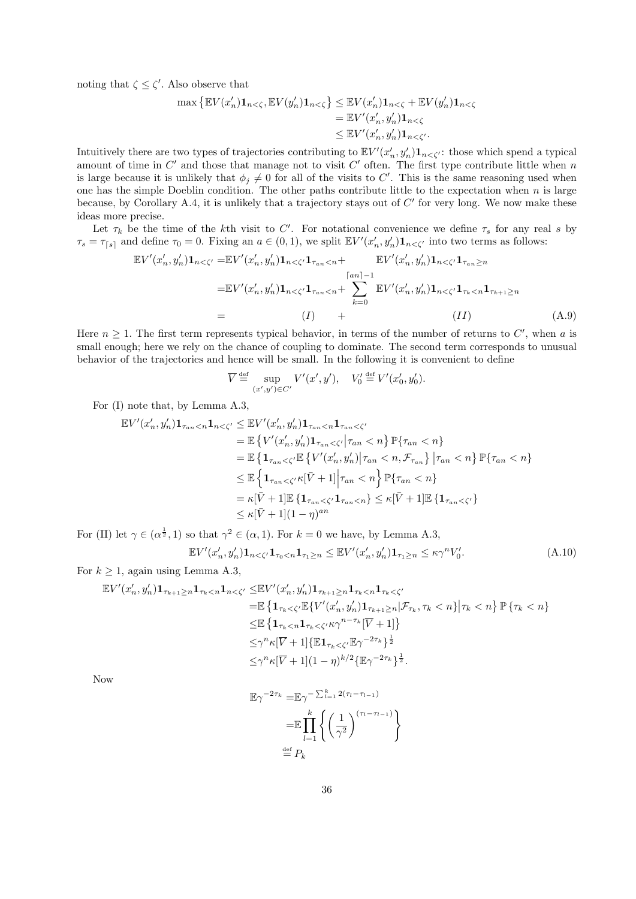noting that  $\zeta \leq \zeta'$ . Also observe that

$$
\max \left\{ \mathbb{E}V(x'_n) \mathbf{1}_{n < \zeta}, \mathbb{E}V(y'_n) \mathbf{1}_{n < \zeta} \right\} \leq \mathbb{E}V(x'_n) \mathbf{1}_{n < \zeta} + \mathbb{E}V(y'_n) \mathbf{1}_{n < \zeta}
$$
\n
$$
= \mathbb{E}V'(x'_n, y'_n) \mathbf{1}_{n < \zeta}
$$
\n
$$
\leq \mathbb{E}V'(x'_n, y'_n) \mathbf{1}_{n < \zeta'}.
$$

Intuitively there are two types of trajectories contributing to  $\mathbb{E}V'(x'_n, y'_n) \mathbf{1}_{n \leq \zeta'}$ : those which spend a typical amount of time in  $C'$  and those that manage not to visit  $C'$  often. The first type contribute little when n is large because it is unlikely that  $\phi_j \neq 0$  for all of the visits to C'. This is the same reasoning used when one has the simple Doeblin condition. The other paths contribute little to the expectation when  $n$  is large because, by Corollary A.4, it is unlikely that a trajectory stays out of  $C'$  for very long. We now make these ideas more precise.

Let  $\tau_k$  be the time of the k<sup>th</sup> visit to C'. For notational convenience we define  $\tau_s$  for any real s by  $\tau_s = \tau_{[s]}$  and define  $\tau_0 = 0$ . Fixing an  $a \in (0, 1)$ , we split  $\mathbb{E}V'(x'_n, y'_n) \mathbf{1}_{n < \zeta'}$  into two terms as follows:

$$
\mathbb{E}V'(x'_n, y'_n) \mathbf{1}_{n < \zeta'} = \mathbb{E}V'(x'_n, y'_n) \mathbf{1}_{n < \zeta'} \mathbf{1}_{\tau_{an} < n} + \mathbb{E}V'(x'_n, y'_n) \mathbf{1}_{n < \zeta'} \mathbf{1}_{\tau_{an} \ge n}
$$
\n
$$
= \mathbb{E}V'(x'_n, y'_n) \mathbf{1}_{n < \zeta'} \mathbf{1}_{\tau_{an} < n} + \sum_{k=0}^{\lceil an \rceil - 1} \mathbb{E}V'(x'_n, y'_n) \mathbf{1}_{n < \zeta'} \mathbf{1}_{\tau_k < n} \mathbf{1}_{\tau_{k+1} \ge n}
$$
\n
$$
= (I) + \qquad (H) \qquad (A.9)
$$

Here  $n \geq 1$ . The first term represents typical behavior, in terms of the number of returns to C', when a is small enough; here we rely on the chance of coupling to dominate. The second term corresponds to unusual behavior of the trajectories and hence will be small. In the following it is convenient to define

$$
\overline{V} \stackrel{\text{def}}{=} \sup_{(x',y') \in C'} V'(x',y'), \quad V'_0 \stackrel{\text{def}}{=} V'(x'_0,y'_0).
$$

For (I) note that, by Lemma A.3,

$$
\mathbb{E}V'(x_n', y_n')\mathbf{1}_{\tau_{an}< n}\mathbf{1}_{n< \zeta'} \leq \mathbb{E}V'(x_n', y_n')\mathbf{1}_{\tau_{an}< n}\mathbf{1}_{\tau_{an}< \zeta'}
$$
\n
$$
= \mathbb{E}\left\{V'(x_n', y_n')\mathbf{1}_{\tau_{an}< \zeta'}|\tau_{an}< n\right\}\mathbb{P}\{\tau_{an}< n\}
$$
\n
$$
= \mathbb{E}\left\{\mathbf{1}_{\tau_{an}< \zeta'}\mathbb{E}\left\{V'(x_n', y_n')|\tau_{an}< n, \mathcal{F}_{\tau_{an}}\right\}|\tau_{an}< n\right\}\mathbb{P}\{\tau_{an}< n\}
$$
\n
$$
\leq \mathbb{E}\left\{\mathbf{1}_{\tau_{an}< \zeta'}\kappa[\bar{V}+1]|\tau_{an}< n\right\}\mathbb{P}\{\tau_{an}< n\}
$$
\n
$$
= \kappa[\bar{V}+1]\mathbb{E}\left\{\mathbf{1}_{\tau_{an}< \zeta'}\mathbf{1}_{\tau_{an}< n}\right\} \leq \kappa[\bar{V}+1]\mathbb{E}\left\{\mathbf{1}_{\tau_{an}< \zeta'}\right\}
$$
\n
$$
\leq \kappa[\bar{V}+1](1-\eta)^{an}
$$

For (II) let  $\gamma \in (\alpha^{\frac{1}{2}}, 1)$  so that  $\gamma^2 \in (\alpha, 1)$ . For  $k = 0$  we have, by Lemma A.3,

$$
\mathbb{E}V'(x'_n, y'_n)\mathbf{1}_{n<\zeta'}\mathbf{1}_{\tau_0\n(A.10)
$$

For  $k \geq 1$ , again using Lemma A.3,

$$
\mathbb{E}V'(x'_n, y'_n) \mathbf{1}_{\tau_{k+1} \ge n} \mathbf{1}_{\tau_k < n} \mathbf{1}_{n < \zeta'} \le \mathbb{E}V'(x'_n, y'_n) \mathbf{1}_{\tau_{k+1} \ge n} \mathbf{1}_{\tau_k < n} \mathbf{1}_{\tau_k < \zeta'} \n= \mathbb{E} \left\{ \mathbf{1}_{\tau_k < \zeta'} \mathbb{E}\{V'(x'_n, y'_n) \mathbf{1}_{\tau_{k+1} \ge n} | \mathcal{F}_{\tau_k}, \tau_k < n \} | \tau_k < n \right\} \mathbb{P} \left\{ \tau_k < n \right\} \n\le \mathbb{E} \left\{ \mathbf{1}_{\tau_k < n} \mathbf{1}_{\tau_k < \zeta'} \kappa \gamma^{n-\tau_k} [\overline{V} + 1] \right\} \n\le \gamma^n \kappa [\overline{V} + 1] \{ \mathbb{E} \mathbf{1}_{\tau_k < \zeta'} \mathbb{E} \gamma^{-2\tau_k} \}^{\frac{1}{2}} \n\le \gamma^n \kappa [\overline{V} + 1] (1 - \eta)^{k/2} \{ \mathbb{E} \gamma^{-2\tau_k} \}^{\frac{1}{2}}.
$$

Now

$$
\mathbb{E}\gamma^{-2\tau_k} = \mathbb{E}\gamma^{-\sum_{l=1}^k 2(\tau_l - \tau_{l-1})}
$$

$$
= \mathbb{E}\prod_{l=1}^k \left\{ \left(\frac{1}{\gamma^2}\right)^{(\tau_l - \tau_{l-1})} \right\}
$$

$$
\stackrel{\text{def}}{=} P_k
$$